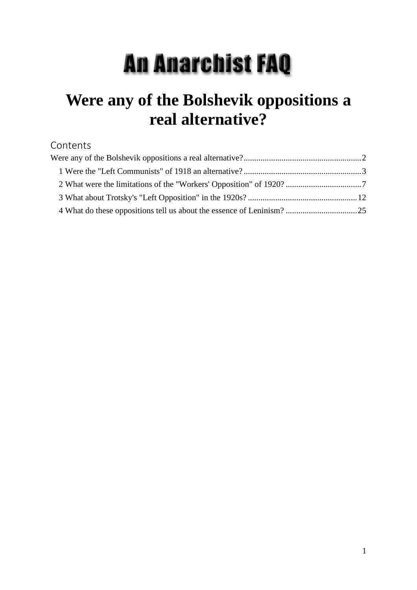# **An Anarchist FAQ**

# **Were any of the Bolshevik oppositions a real alternative?**

#### Contents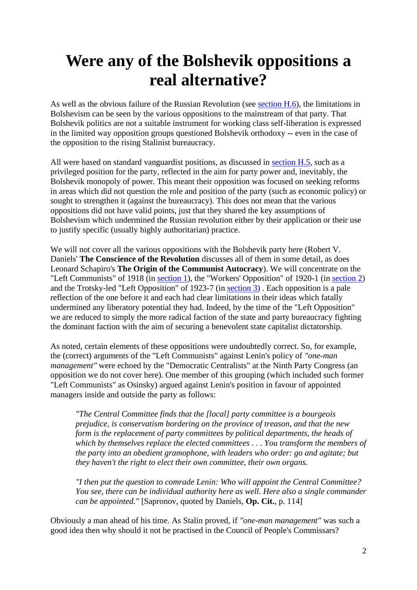## <span id="page-1-0"></span>**Were any of the Bolshevik oppositions a real alternative?**

As well as the obvious failure of the Russian Revolution (see [section H.6\)](sectionH.html#sech6), the limitations in Bolshevism can be seen by the various oppositions to the mainstream of that party. That Bolshevik politics are not a suitable instrument for working class self-liberation is expressed in the limited way opposition groups questioned Bolshevik orthodoxy -- even in the case of the opposition to the rising Stalinist bureaucracy.

All were based on standard vanguardist positions, as discussed in [section H.5,](sectionH.html#sech5) such as a privileged position for the party, reflected in the aim for party power and, inevitably, the Bolshevik monopoly of power. This meant their opposition was focused on seeking reforms in areas which did not question the role and position of the party (such as economic policy) or sought to strengthen it (against the bureaucracy). This does not mean that the various oppositions did not have valid points, just that they shared the key assumptions of Bolshevism which undermined the Russian revolution either by their application or their use to justify specific (usually highly authoritarian) practice.

We will not cover all the various oppositions with the Bolshevik party here (Robert V. Daniels' **The Conscience of the Revolution** discusses all of them in some detail, as does Leonard Schapiro's **The Origin of the Communist Autocracy**). We will concentrate on the "Left Communists" of 1918 (in [section 1\)](append45.html#app1), the "Workers' Opposition" of 1920-1 (in [section 2\)](append45.html#app2) and the Trotsky-led "Left Opposition" of 1923-7 (in [section 3\)](append45.html#app3) . Each opposition is a pale reflection of the one before it and each had clear limitations in their ideas which fatally undermined any liberatory potential they had. Indeed, by the time of the "Left Opposition" we are reduced to simply the more radical faction of the state and party bureaucracy fighting the dominant faction with the aim of securing a benevolent state capitalist dictatorship.

As noted, certain elements of these oppositions were undoubtedly correct. So, for example, the (correct) arguments of the "Left Communists" against Lenin's policy of *"one-man management"* were echoed by the "Democratic Centralists" at the Ninth Party Congress (an opposition we do not cover here). One member of this grouping (which included such former "Left Communists" as Osinsky) argued against Lenin's position in favour of appointed managers inside and outside the party as follows:

*"The Central Committee finds that the [local] party committee is a bourgeois prejudice, is conservatism bordering on the province of treason, and that the new form is the replacement of party committees by political departments, the heads of which by themselves replace the elected committees . . . You transform the members of the party into an obedient gramophone, with leaders who order: go and agitate; but they haven't the right to elect their own committee, their own organs.*

*"I then put the question to comrade Lenin: Who will appoint the Central Committee? You see, there can be individual authority here as well. Here also a single commander can be appointed."* [Sapronov, quoted by Daniels, **Op. Cit.**, p. 114]

Obviously a man ahead of his time. As Stalin proved, if *"one-man management"* was such a good idea then why should it not be practised in the Council of People's Commissars?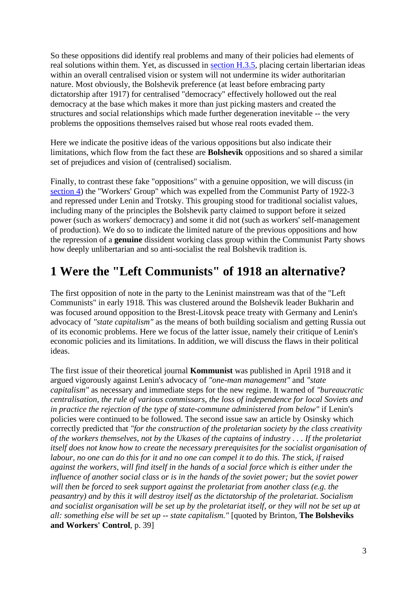So these oppositions did identify real problems and many of their policies had elements of real solutions within them. Yet, as discussed in [section H.3.5,](sectionH.html#sech35) placing certain libertarian ideas within an overall centralised vision or system will not undermine its wider authoritarian nature. Most obviously, the Bolshevik preference (at least before embracing party dictatorship after 1917) for centralised "democracy" effectively hollowed out the real democracy at the base which makes it more than just picking masters and created the structures and social relationships which made further degeneration inevitable -- the very problems the oppositions themselves raised but whose real roots evaded them.

Here we indicate the positive ideas of the various oppositions but also indicate their limitations, which flow from the fact these are **Bolshevik** oppositions and so shared a similar set of prejudices and vision of (centralised) socialism.

Finally, to contrast these fake "oppositions" with a genuine opposition, we will discuss (in [section 4\)](append45.html#app4) the "Workers' Group" which was expelled from the Communist Party of 1922-3 and repressed under Lenin and Trotsky. This grouping stood for traditional socialist values, including many of the principles the Bolshevik party claimed to support before it seized power (such as workers' democracy) and some it did not (such as workers' self-management of production). We do so to indicate the limited nature of the previous oppositions and how the repression of a **genuine** dissident working class group within the Communist Party shows how deeply unlibertarian and so anti-socialist the real Bolshevik tradition is.

## <span id="page-2-0"></span>**1 Were the "Left Communists" of 1918 an alternative?**

The first opposition of note in the party to the Leninist mainstream was that of the "Left Communists" in early 1918. This was clustered around the Bolshevik leader Bukharin and was focused around opposition to the Brest-Litovsk peace treaty with Germany and Lenin's advocacy of *"state capitalism"* as the means of both building socialism and getting Russia out of its economic problems. Here we focus of the latter issue, namely their critique of Lenin's economic policies and its limitations. In addition, we will discuss the flaws in their political ideas.

The first issue of their theoretical journal **Kommunist** was published in April 1918 and it argued vigorously against Lenin's advocacy of *"one-man management"* and *"state capitalism"* as necessary and immediate steps for the new regime. It warned of *"bureaucratic centralisation, the rule of various commissars, the loss of independence for local Soviets and in practice the rejection of the type of state-commune administered from below"* if Lenin's policies were continued to be followed. The second issue saw an article by Osinsky which correctly predicted that *"for the construction of the proletarian society by the class creativity of the workers themselves, not by the Ukases of the captains of industry . . . If the proletariat itself does not know how to create the necessary prerequisites for the socialist organisation of labour, no one can do this for it and no one can compel it to do this. The stick, if raised against the workers, will find itself in the hands of a social force which is either under the influence of another social class or is in the hands of the soviet power; but the soviet power will then be forced to seek support against the proletariat from another class (e.g. the peasantry) and by this it will destroy itself as the dictatorship of the proletariat. Socialism and socialist organisation will be set up by the proletariat itself, or they will not be set up at all: something else will be set up -- state capitalism."* [quoted by Brinton, **The Bolsheviks and Workers' Control**, p. 39]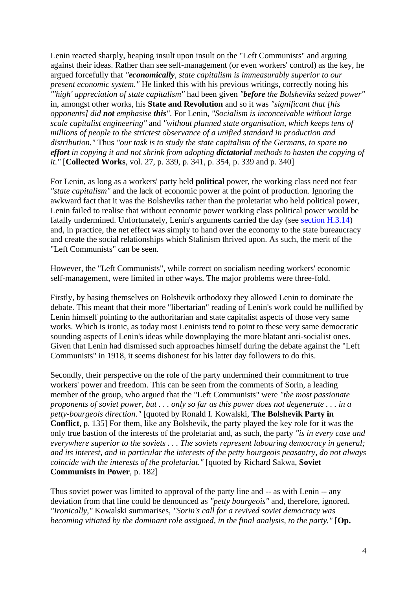Lenin reacted sharply, heaping insult upon insult on the "Left Communists" and arguing against their ideas. Rather than see self-management (or even workers' control) as the key, he argued forcefully that *"economically, state capitalism is immeasurably superior to our present economic system."* He linked this with his previous writings, correctly noting his *"'high' appreciation of state capitalism"* had been given *"before the Bolsheviks seized power"* in, amongst other works, his **State and Revolution** and so it was *"significant that [his opponents] did not emphasise this"*. For Lenin, *"Socialism is inconceivable without large scale capitalist engineering"* and *"without planned state organisation, which keeps tens of millions of people to the strictest observance of a unified standard in production and distribution."* Thus *"our task is to study the state capitalism of the Germans, to spare no effort in copying it and not shrink from adopting dictatorial methods to hasten the copying of it."* [**Collected Works**, vol. 27, p. 339, p. 341, p. 354, p. 339 and p. 340]

For Lenin, as long as a workers' party held **political** power, the working class need not fear *"state capitalism"* and the lack of economic power at the point of production. Ignoring the awkward fact that it was the Bolsheviks rather than the proletariat who held political power, Lenin failed to realise that without economic power working class political power would be fatally undermined. Unfortunately, Lenin's arguments carried the day (see [section H.3.14\)](sectionH.html#sech314) and, in practice, the net effect was simply to hand over the economy to the state bureaucracy and create the social relationships which Stalinism thrived upon. As such, the merit of the "Left Communists" can be seen.

However, the "Left Communists", while correct on socialism needing workers' economic self-management, were limited in other ways. The major problems were three-fold.

Firstly, by basing themselves on Bolshevik orthodoxy they allowed Lenin to dominate the debate. This meant that their more "libertarian" reading of Lenin's work could be nullified by Lenin himself pointing to the authoritarian and state capitalist aspects of those very same works. Which is ironic, as today most Leninists tend to point to these very same democratic sounding aspects of Lenin's ideas while downplaying the more blatant anti-socialist ones. Given that Lenin had dismissed such approaches himself during the debate against the "Left Communists" in 1918, it seems dishonest for his latter day followers to do this.

Secondly, their perspective on the role of the party undermined their commitment to true workers' power and freedom. This can be seen from the comments of Sorin, a leading member of the group, who argued that the "Left Communists" were *"the most passionate proponents of soviet power, but . . . only so far as this power does not degenerate . . . in a petty-bourgeois direction."* [quoted by Ronald I. Kowalski, **The Bolshevik Party in Conflict**, p. 135] For them, like any Bolshevik, the party played the key role for it was the only true bastion of the interests of the proletariat and, as such, the party *"is in every case and everywhere superior to the soviets . . . The soviets represent labouring democracy in general; and its interest, and in particular the interests of the petty bourgeois peasantry, do not always coincide with the interests of the proletariat."* [quoted by Richard Sakwa, **Soviet Communists in Power**, p. 182]

Thus soviet power was limited to approval of the party line and -- as with Lenin -- any deviation from that line could be denounced as *"petty bourgeois"* and, therefore, ignored. *"Ironically,"* Kowalski summarises, *"Sorin's call for a revived soviet democracy was becoming vitiated by the dominant role assigned, in the final analysis, to the party."* [**Op.**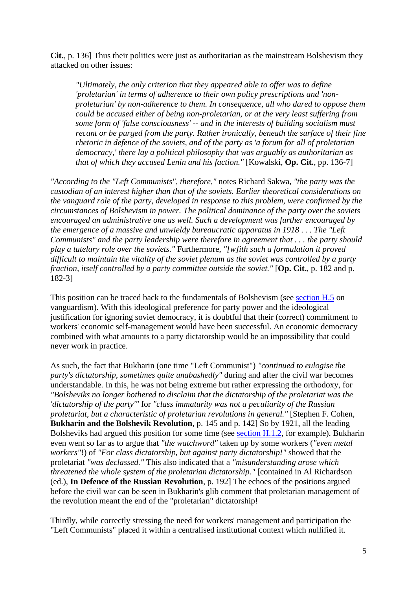**Cit.**, p. 136] Thus their politics were just as authoritarian as the mainstream Bolshevism they attacked on other issues:

*"Ultimately, the only criterion that they appeared able to offer was to define 'proletarian' in terms of adherence to their own policy prescriptions and 'nonproletarian' by non-adherence to them. In consequence, all who dared to oppose them could be accused either of being non-proletarian, or at the very least suffering from some form of 'false consciousness' -- and in the interests of building socialism must recant or be purged from the party. Rather ironically, beneath the surface of their fine rhetoric in defence of the soviets, and of the party as 'a forum for all of proletarian democracy,' there lay a political philosophy that was arguably as authoritarian as that of which they accused Lenin and his faction."* [Kowalski, **Op. Cit.**, pp. 136-7]

*"According to the "Left Communists", therefore,"* notes Richard Sakwa, *"the party was the custodian of an interest higher than that of the soviets. Earlier theoretical considerations on the vanguard role of the party, developed in response to this problem, were confirmed by the circumstances of Bolshevism in power. The political dominance of the party over the soviets encouraged an administrative one as well. Such a development was further encouraged by the emergence of a massive and unwieldy bureaucratic apparatus in 1918 . . . The "Left Communists" and the party leadership were therefore in agreement that . . . the party should play a tutelary role over the soviets."* Furthermore, *"[w]ith such a formulation it proved difficult to maintain the vitality of the soviet plenum as the soviet was controlled by a party fraction, itself controlled by a party committee outside the soviet."* [**Op. Cit.**, p. 182 and p. 182-3]

This position can be traced back to the fundamentals of Bolshevism (see [section H.5](sectionH.html#sech5) on vanguardism). With this ideological preference for party power and the ideological justification for ignoring soviet democracy, it is doubtful that their (correct) commitment to workers' economic self-management would have been successful. An economic democracy combined with what amounts to a party dictatorship would be an impossibility that could never work in practice.

As such, the fact that Bukharin (one time "Left Communist") *"continued to eulogise the party's dictatorship, sometimes quite unabashedly"* during and after the civil war becomes understandable. In this, he was not being extreme but rather expressing the orthodoxy, for *"Bolsheviks no longer bothered to disclaim that the dictatorship of the proletariat was the 'dictatorship of the party'"* for *"class immaturity was not a peculiarity of the Russian proletariat, but a characteristic of proletarian revolutions in general."* [Stephen F. Cohen, **Bukharin and the Bolshevik Revolution**, p. 145 and p. 142] So by 1921, all the leading Bolsheviks had argued this position for some time (see [section H.1.2,](sectionH.html#sech12) for example). Bukharin even went so far as to argue that *"the watchword"* taken up by some workers (*"even metal workers"*!) of *"For class dictatorship, but against party dictatorship!"* showed that the proletariat *"was declassed."* This also indicated that a *"misunderstanding arose which threatened the whole system of the proletarian dictatorship."* [contained in Al Richardson (ed.), **In Defence of the Russian Revolution**, p. 192] The echoes of the positions argued before the civil war can be seen in Bukharin's glib comment that proletarian management of the revolution meant the end of the "proletarian" dictatorship!

Thirdly, while correctly stressing the need for workers' management and participation the "Left Communists" placed it within a centralised institutional context which nullified it.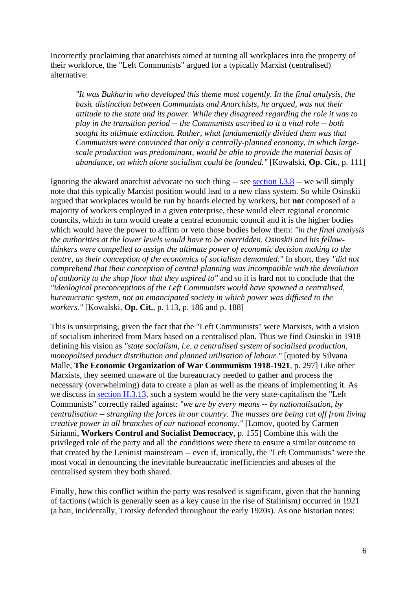Incorrectly proclaiming that anarchists aimed at turning all workplaces into the property of their workforce, the "Left Communists" argued for a typically Marxist (centralised) alternative:

*"It was Bukharin who developed this theme most cogently. In the final analysis, the basic distinction between Communists and Anarchists, he argued, was not their attitude to the state and its power. While they disagreed regarding the role it was to play in the transition period -- the Communists ascribed to it a vital role -- both sought its ultimate extinction. Rather, what fundamentally divided them was that Communists were convinced that only a centrally-planned economy, in which largescale production was predominant, would be able to provide the material basis of abundance, on which alone socialism could be founded."* [Kowalski, **Op. Cit.**, p. 111]

Ignoring the akward anarchist advocate no such thing -- see [section I.3.8](sectionI.html#seci38) -- we will simply note that this typically Marxist position would lead to a new class system. So while Osinskii argued that workplaces would be run by boards elected by workers, but **not** composed of a majority of workers employed in a given enterprise, these would elect regional economic councils, which in turn would create a central economic council and it is the higher bodies which would have the power to affirm or veto those bodies below them: *"in the final analysis the authorities at the lower levels would have to be overridden. Osinskii and his fellowthinkers were compelled to assign the ultimate power of economic decision making to the centre, as their conception of the economics of socialism demanded."* In short, they *"did not comprehend that their conception of central planning was incompatible with the devolution of authority to the shop floor that they aspired to"* and so it is hard not to conclude that the *"ideological preconceptions of the Left Communists would have spawned a centralised, bureaucratic system, not an emancipated society in which power was diffused to the workers."* [Kowalski, **Op. Cit.**, p. 113, p. 186 and p. 188]

This is unsurprising, given the fact that the "Left Communists" were Marxists, with a vision of socialism inherited from Marx based on a centralised plan. Thus we find Osinskii in 1918 defining his vision as *"state socialism, i.e. a centralised system of socialised production, monopolised product distribution and planned utilisation of labour."* [quoted by Silvana Malle, **The Economic Organization of War Communism 1918-1921**, p. 297] Like other Marxists, they seemed unaware of the bureaucracy needed to gather and process the necessary (overwhelming) data to create a plan as well as the means of implementing it. As we discuss in [section H.3.13,](sectionH.html#sech313) such a system would be the very state-capitalism the "Left Communists" correctly railed against: *"we are by every means -- by nationalisation, by centralisation -- strangling the forces in our country. The masses are being cut off from living creative power in all branches of our national economy."* [Lomov, quoted by Carmen Sirianni, **Workers Control and Socialist Democracy**, p. 155] Combine this with the privileged role of the party and all the conditions were there to ensure a similar outcome to that created by the Leninist mainstream -- even if, ironically, the "Left Communists" were the most vocal in denouncing the inevitable bureaucratic inefficiencies and abuses of the centralised system they both shared.

Finally, how this conflict within the party was resolved is significant, given that the banning of factions (which is generally seen as a key cause in the rise of Stalinism) occurred in 1921 (a ban, incidentally, Trotsky defended throughout the early 1920s). As one historian notes: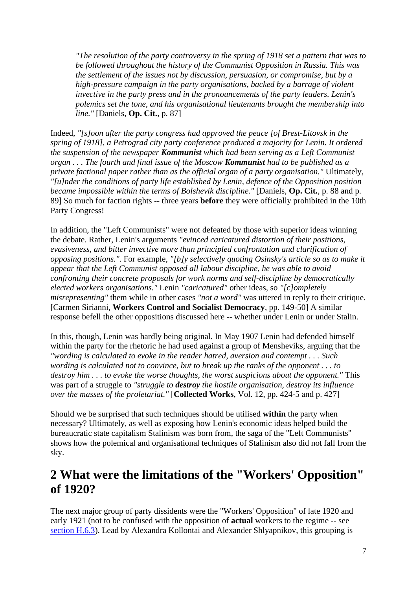*"The resolution of the party controversy in the spring of 1918 set a pattern that was to be followed throughout the history of the Communist Opposition in Russia. This was the settlement of the issues not by discussion, persuasion, or compromise, but by a high-pressure campaign in the party organisations, backed by a barrage of violent invective in the party press and in the pronouncements of the party leaders. Lenin's polemics set the tone, and his organisational lieutenants brought the membership into line."* [Daniels, **Op. Cit.**, p. 87]

Indeed, *"[s]oon after the party congress had approved the peace [of Brest-Litovsk in the spring of 1918], a Petrograd city party conference produced a majority for Lenin. It ordered the suspension of the newspaper Kommunist which had been serving as a Left Communist organ . . . The fourth and final issue of the Moscow Kommunist had to be published as a private factional paper rather than as the official organ of a party organisation."* Ultimately, *"[u]nder the conditions of party life established by Lenin, defence of the Opposition position became impossible within the terms of Bolshevik discipline."* [Daniels, **Op. Cit.**, p. 88 and p. 89] So much for faction rights -- three years **before** they were officially prohibited in the 10th Party Congress!

In addition, the "Left Communists" were not defeated by those with superior ideas winning the debate. Rather, Lenin's arguments *"evinced caricatured distortion of their positions, evasiveness, and bitter invective more than principled confrontation and clarification of opposing positions."*. For example, *"[b]y selectively quoting Osinsky's article so as to make it appear that the Left Communist opposed all labour discipline, he was able to avoid confronting their concrete proposals for work norms and self-discipline by democratically elected workers organisations."* Lenin *"caricatured"* other ideas, so *"[c]ompletely misrepresenting"* them while in other cases *"not a word"* was uttered in reply to their critique. [Carmen Sirianni, **Workers Control and Socialist Democracy**, pp. 149-50] A similar response befell the other oppositions discussed here -- whether under Lenin or under Stalin.

In this, though, Lenin was hardly being original. In May 1907 Lenin had defended himself within the party for the rhetoric he had used against a group of Mensheviks, arguing that the *"wording is calculated to evoke in the reader hatred, aversion and contempt . . . Such wording is calculated not to convince, but to break up the ranks of the opponent . . . to destroy him . . . to evoke the worse thoughts, the worst suspicions about the opponent."* This was part of a struggle to *"struggle to destroy the hostile organisation, destroy its influence over the masses of the proletariat."* [**Collected Works**, Vol. 12, pp. 424-5 and p. 427]

Should we be surprised that such techniques should be utilised **within** the party when necessary? Ultimately, as well as exposing how Lenin's economic ideas helped build the bureaucratic state capitalism Stalinism was born from, the saga of the "Left Communists" shows how the polemical and organisational techniques of Stalinism also did not fall from the sky.

## <span id="page-6-0"></span>**2 What were the limitations of the "Workers' Opposition" of 1920?**

The next major group of party dissidents were the "Workers' Opposition" of late 1920 and early 1921 (not to be confused with the opposition of **actual** workers to the regime -- see [section H.6.3\)](sectionH.html#sech63). Lead by Alexandra Kollontai and Alexander Shlyapnikov, this grouping is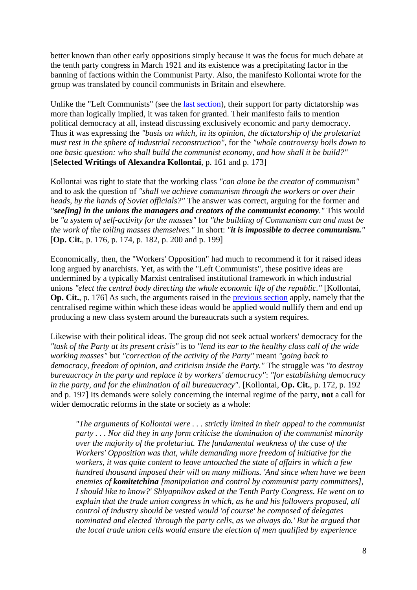better known than other early oppositions simply because it was the focus for much debate at the tenth party congress in March 1921 and its existence was a precipitating factor in the banning of factions within the Communist Party. Also, the manifesto Kollontai wrote for the group was translated by council communists in Britain and elsewhere.

Unlike the "Left Communists" (see the [last section\)](append45.html#app1), their support for party dictatorship was more than logically implied, it was taken for granted. Their manifesto fails to mention political democracy at all, instead discussing exclusively economic and party democracy. Thus it was expressing the *"basis on which, in its opinion, the dictatorship of the proletariat must rest in the sphere of industrial reconstruction"*, for the *"whole controversy boils down to one basic question: who shall build the communist economy, and how shall it be build?"* [**Selected Writings of Alexandra Kollontai**, p. 161 and p. 173]

Kollontai was right to state that the working class *"can alone be the creator of communism"* and to ask the question of *"shall we achieve communism through the workers or over their heads, by the hands of Soviet officials?"* The answer was correct, arguing for the former and *"see[ing] in the unions the managers and creators of the communist economy."* This would be *"a system of self-activity for the masses"* for *"the building of Communism can and must be the work of the toiling masses themselves."* In short: *"it is impossible to decree communism."* [**Op. Cit.**, p. 176, p. 174, p. 182, p. 200 and p. 199]

Economically, then, the "Workers' Opposition" had much to recommend it for it raised ideas long argued by anarchists. Yet, as with the "Left Communists", these positive ideas are undermined by a typically Marxist centralised institutional framework in which industrial unions *"elect the central body directing the whole economic life of the republic."* [Kollontai, **Op. Cit.**, p. 176] As such, the arguments raised in the **previous section** apply, namely that the centralised regime within which these ideas would be applied would nullify them and end up producing a new class system around the bureaucrats such a system requires.

Likewise with their political ideas. The group did not seek actual workers' democracy for the *"task of the Party at its present crisis"* is to *"lend its ear to the healthy class call of the wide working masses"* but *"correction of the activity of the Party"* meant *"going back to democracy, freedom of opinion, and criticism inside the Party."* The struggle was *"to destroy bureaucracy in the party and replace it by workers' democracy"*: *"for establishing democracy in the party, and for the elimination of all bureaucracy"*. [Kollontai, **Op. Cit.**, p. 172, p. 192 and p. 197] Its demands were solely concerning the internal regime of the party, **not** a call for wider democratic reforms in the state or society as a whole:

*"The arguments of Kollontai were . . . strictly limited in their appeal to the communist party . . . Nor did they in any form criticise the domination of the communist minority over the majority of the proletariat. The fundamental weakness of the case of the Workers' Opposition was that, while demanding more freedom of initiative for the workers, it was quite content to leave untouched the state of affairs in which a few hundred thousand imposed their will on many millions. 'And since when have we been enemies of komitetchina [manipulation and control by communist party committees], I should like to know?' Shlyapnikov asked at the Tenth Party Congress. He went on to explain that the trade union congress in which, as he and his followers proposed, all control of industry should be vested would 'of course' be composed of delegates nominated and elected 'through the party cells, as we always do.' But he argued that the local trade union cells would ensure the election of men qualified by experience*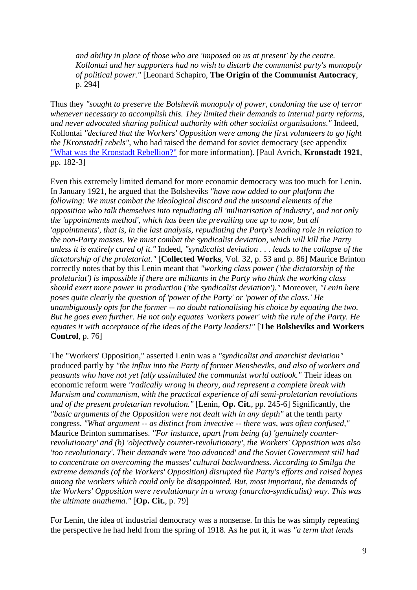*and ability in place of those who are 'imposed on us at present' by the centre. Kollontai and her supporters had no wish to disturb the communist party's monopoly of political power."* [Leonard Schapiro, **The Origin of the Communist Autocracy**, p. 294]

Thus they *"sought to preserve the Bolshevik monopoly of power, condoning the use of terror whenever necessary to accomplish this. They limited their demands to internal party reforms, and never advocated sharing political authority with other socialist organisations."* Indeed, Kollontai *"declared that the Workers' Opposition were among the first volunteers to go fight the [Kronstadt] rebels"*, who had raised the demand for soviet democracy (see appendix ["What was the Kronstadt Rebellion?"](append42.html) for more information). [Paul Avrich, **Kronstadt 1921**, pp. 182-3]

Even this extremely limited demand for more economic democracy was too much for Lenin. In January 1921, he argued that the Bolsheviks *"have now added to our platform the following: We must combat the ideological discord and the unsound elements of the opposition who talk themselves into repudiating all 'militarisation of industry', and not only the 'appointments method', which has been the prevailing one up to now, but all 'appointments', that is, in the last analysis, repudiating the Party's leading role in relation to the non-Party masses. We must combat the syndicalist deviation, which will kill the Party unless it is entirely cured of it."* Indeed, *"syndicalist deviation . . . leads to the collapse of the dictatorship of the proletariat."* [**Collected Works**, Vol. 32, p. 53 and p. 86] Maurice Brinton correctly notes that by this Lenin meant that *"working class power ('the dictatorship of the proletariat') is impossible if there are militants in the Party who think the working class should exert more power in production ('the syndicalist deviation')."* Moreover, *"Lenin here poses quite clearly the question of 'power of the Party' or 'power of the class.' He unambiguously opts for the former -- no doubt rationalising his choice by equating the two. But he goes even further. He not only equates 'workers power' with the rule of the Party. He equates it with acceptance of the ideas of the Party leaders!"* [**The Bolsheviks and Workers Control**, p. 76]

The "Workers' Opposition," asserted Lenin was a *"syndicalist and anarchist deviation"* produced partly by *"the influx into the Party of former Mensheviks, and also of workers and peasants who have not yet fully assimilated the communist world outlook."* Their ideas on economic reform were *"radically wrong in theory, and represent a complete break with Marxism and communism, with the practical experience of all semi-proletarian revolutions and of the present proletarian revolution."* [Lenin, **Op. Cit.**, pp. 245-6] Significantly, the *"basic arguments of the Opposition were not dealt with in any depth"* at the tenth party congress. *"What argument -- as distinct from invective -- there was, was often confused,"* Maurice Brinton summarises. *"For instance, apart from being (a) 'genuinely counterrevolutionary' and (b) 'objectively counter-revolutionary', the Workers' Opposition was also 'too revolutionary'. Their demands were 'too advanced' and the Soviet Government still had to concentrate on overcoming the masses' cultural backwardness. According to Smilga the extreme demands (of the Workers' Opposition) disrupted the Party's efforts and raised hopes among the workers which could only be disappointed. But, most important, the demands of the Workers' Opposition were revolutionary in a wrong (anarcho-syndicalist) way. This was the ultimate anathema."* [**Op. Cit.**, p. 79]

For Lenin, the idea of industrial democracy was a nonsense. In this he was simply repeating the perspective he had held from the spring of 1918. As he put it, it was *"a term that lends*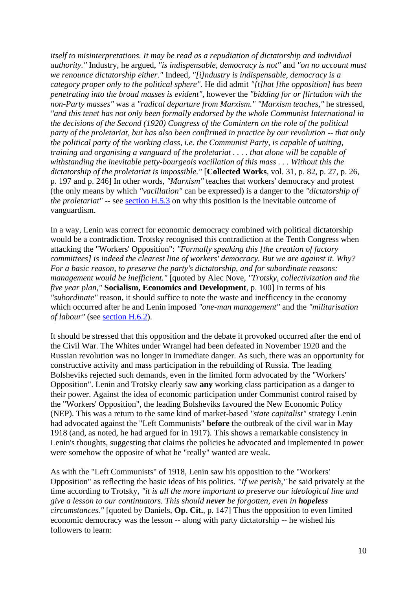*itself to misinterpretations. It may be read as a repudiation of dictatorship and individual authority."* Industry, he argued, *"is indispensable, democracy is not"* and *"on no account must we renounce dictatorship either."* Indeed, *"[i]ndustry is indispensable, democracy is a category proper only to the political sphere".* He did admit *"[t]hat [the opposition] has been penetrating into the broad masses is evident"*, however the *"bidding for or flirtation with the non-Party masses"* was a *"radical departure from Marxism." "Marxism teaches,"* he stressed, *"and this tenet has not only been formally endorsed by the whole Communist International in the decisions of the Second (1920) Congress of the Comintern on the role of the political party of the proletariat, but has also been confirmed in practice by our revolution -- that only the political party of the working class, i.e. the Communist Party, is capable of uniting, training and organising a vanguard of the proletariat . . . . that alone will be capable of withstanding the inevitable petty-bourgeois vacillation of this mass . . . Without this the dictatorship of the proletariat is impossible."* [**Collected Works**, vol. 31, p. 82, p. 27, p. 26, p. 197 and p. 246] In other words, *"Marxism"* teaches that workers' democracy and protest (the only means by which *"vacillation"* can be expressed) is a danger to the *"dictatorship of the proletariat*" -- see [section H.5.3](sectionH.html#sech53) on why this position is the inevitable outcome of vanguardism.

In a way, Lenin was correct for economic democracy combined with political dictatorship would be a contradiction. Trotsky recognised this contradiction at the Tenth Congress when attacking the "Workers' Opposition": *"Formally speaking this [the creation of factory committees] is indeed the clearest line of workers' democracy. But we are against it. Why? For a basic reason, to preserve the party's dictatorship, and for subordinate reasons: management would be inefficient."* [quoted by Alec Nove, *"Trotsky, collectivization and the five year plan,"* **Socialism, Economics and Development**, p. 100] In terms of his *"subordinate"* reason, it should suffice to note the waste and inefficency in the economy which occurred after he and Lenin imposed *"one-man management"* and the *"militarisation of labour"* (see [section H.6.2\)](sectionH.html#sech62).

It should be stressed that this opposition and the debate it provoked occurred after the end of the Civil War. The Whites under Wrangel had been defeated in November 1920 and the Russian revolution was no longer in immediate danger. As such, there was an opportunity for constructive activity and mass participation in the rebuilding of Russia. The leading Bolsheviks rejected such demands, even in the limited form advocated by the "Workers' Opposition". Lenin and Trotsky clearly saw **any** working class participation as a danger to their power. Against the idea of economic participation under Communist control raised by the "Workers' Opposition", the leading Bolsheviks favoured the New Economic Policy (NEP). This was a return to the same kind of market-based *"state capitalist"* strategy Lenin had advocated against the "Left Communists" **before** the outbreak of the civil war in May 1918 (and, as noted, he had argued for in 1917). This shows a remarkable consistency in Lenin's thoughts, suggesting that claims the policies he advocated and implemented in power were somehow the opposite of what he "really" wanted are weak.

As with the "Left Communists" of 1918, Lenin saw his opposition to the "Workers' Opposition" as reflecting the basic ideas of his politics. *"If we perish,"* he said privately at the time according to Trotsky, *"it is all the more important to preserve our ideological line and give a lesson to our continuators. This should never be forgotten, even in hopeless circumstances."* [quoted by Daniels, **Op. Cit.**, p. 147] Thus the opposition to even limited economic democracy was the lesson -- along with party dictatorship -- he wished his followers to learn: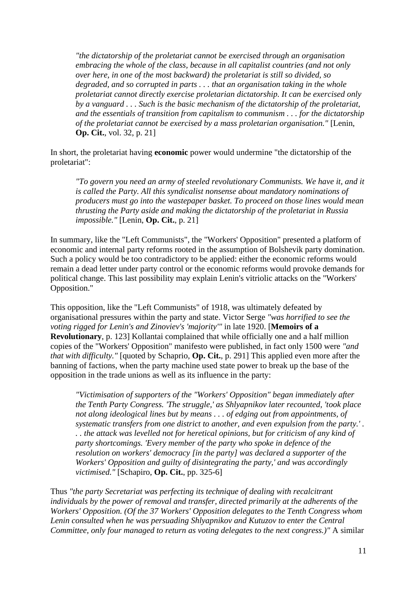*"the dictatorship of the proletariat cannot be exercised through an organisation embracing the whole of the class, because in all capitalist countries (and not only over here, in one of the most backward) the proletariat is still so divided, so degraded, and so corrupted in parts . . . that an organisation taking in the whole proletariat cannot directly exercise proletarian dictatorship. It can be exercised only by a vanguard . . . Such is the basic mechanism of the dictatorship of the proletariat, and the essentials of transition from capitalism to communism . . . for the dictatorship of the proletariat cannot be exercised by a mass proletarian organisation."* [Lenin, **Op. Cit.**, vol. 32, p. 21]

In short, the proletariat having **economic** power would undermine "the dictatorship of the proletariat":

*"To govern you need an army of steeled revolutionary Communists. We have it, and it is called the Party. All this syndicalist nonsense about mandatory nominations of producers must go into the wastepaper basket. To proceed on those lines would mean thrusting the Party aside and making the dictatorship of the proletariat in Russia impossible."* [Lenin, **Op. Cit.**, p. 21]

In summary, like the "Left Communists", the "Workers' Opposition" presented a platform of economic and internal party reforms rooted in the assumption of Bolshevik party domination. Such a policy would be too contradictory to be applied: either the economic reforms would remain a dead letter under party control or the economic reforms would provoke demands for political change. This last possibility may explain Lenin's vitriolic attacks on the "Workers' Opposition."

This opposition, like the "Left Communists" of 1918, was ultimately defeated by organisational pressures within the party and state. Victor Serge *"was horrified to see the voting rigged for Lenin's and Zinoviev's 'majority'"* in late 1920. [**Memoirs of a Revolutionary**, p. 123] Kollantai complained that while officially one and a half million copies of the "Workers' Opposition" manifesto were published, in fact only 1500 were *"and that with difficulty."* [quoted by Schaprio, **Op. Cit.**, p. 291] This applied even more after the banning of factions, when the party machine used state power to break up the base of the opposition in the trade unions as well as its influence in the party:

*"Victimisation of supporters of the "Workers' Opposition" began immediately after the Tenth Party Congress. 'The struggle,' as Shlyapnikov later recounted, 'took place not along ideological lines but by means . . . of edging out from appointments, of systematic transfers from one district to another, and even expulsion from the party.' . . . the attack was levelled not for heretical opinions, but for criticism of any kind of party shortcomings. 'Every member of the party who spoke in defence of the resolution on workers' democracy [in the party] was declared a supporter of the Workers' Opposition and guilty of disintegrating the party,' and was accordingly victimised."* [Schapiro, **Op. Cit.**, pp. 325-6]

Thus *"the party Secretariat was perfecting its technique of dealing with recalcitrant individuals by the power of removal and transfer, directed primarily at the adherents of the Workers' Opposition. (Of the 37 Workers' Opposition delegates to the Tenth Congress whom Lenin consulted when he was persuading Shlyapnikov and Kutuzov to enter the Central Committee, only four managed to return as voting delegates to the next congress.)"* A similar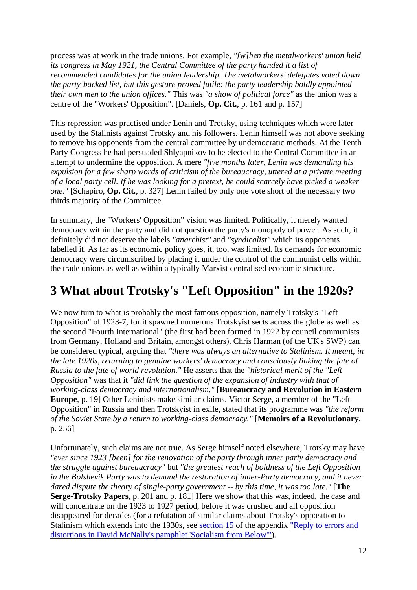process was at work in the trade unions. For example, *"[w]hen the metalworkers' union held its congress in May 1921, the Central Committee of the party handed it a list of recommended candidates for the union leadership. The metalworkers' delegates voted down the party-backed list, but this gesture proved futile: the party leadership boldly appointed their own men to the union offices."* This was *"a show of political force"* as the union was a centre of the "Workers' Opposition". [Daniels, **Op. Cit.**, p. 161 and p. 157]

This repression was practised under Lenin and Trotsky, using techniques which were later used by the Stalinists against Trotsky and his followers. Lenin himself was not above seeking to remove his opponents from the central committee by undemocratic methods. At the Tenth Party Congress he had persuaded Shlyapnikov to be elected to the Central Committee in an attempt to undermine the opposition. A mere *"five months later, Lenin was demanding his expulsion for a few sharp words of criticism of the bureaucracy, uttered at a private meeting of a local party cell. If he was looking for a pretext, he could scarcely have picked a weaker one."* [Schapiro, **Op. Cit.**, p. 327] Lenin failed by only one vote short of the necessary two thirds majority of the Committee.

In summary, the "Workers' Opposition" vision was limited. Politically, it merely wanted democracy within the party and did not question the party's monopoly of power. As such, it definitely did not deserve the labels *"anarchist"* and *"syndicalist"* which its opponents labelled it. As far as its economic policy goes, it, too, was limited. Its demands for economic democracy were circumscribed by placing it under the control of the communist cells within the trade unions as well as within a typically Marxist centralised economic structure.

## <span id="page-11-0"></span>**3 What about Trotsky's "Left Opposition" in the 1920s?**

We now turn to what is probably the most famous opposition, namely Trotsky's "Left Opposition" of 1923-7, for it spawned numerous Trotskyist sects across the globe as well as the second "Fourth International" (the first had been formed in 1922 by council communists from Germany, Holland and Britain, amongst others). Chris Harman (of the UK's SWP) can be considered typical, arguing that *"there was always an alternative to Stalinism. It meant, in the late 1920s, returning to genuine workers' democracy and consciously linking the fate of Russia to the fate of world revolution."* He asserts that the *"historical merit of the "Left Opposition"* was that it *"did link the question of the expansion of industry with that of working-class democracy and internationalism."* [**Bureaucracy and Revolution in Eastern Europe**, p. 19] Other Leninists make similar claims. Victor Serge, a member of the "Left Opposition" in Russia and then Trotskyist in exile, stated that its programme was *"the reform of the Soviet State by a return to working-class democracy."* [**Memoirs of a Revolutionary**, p. 256]

Unfortunately, such claims are not true. As Serge himself noted elsewhere, Trotsky may have *"ever since 1923 [been] for the renovation of the party through inner party democracy and the struggle against bureaucracy"* but *"the greatest reach of boldness of the Left Opposition in the Bolshevik Party was to demand the restoration of inner-Party democracy, and it never dared dispute the theory of single-party government -- by this time, it was too late."* [**The Serge-Trotsky Papers**, p. 201 and p. 181] Here we show that this was, indeed, the case and will concentrate on the 1923 to 1927 period, before it was crushed and all opposition disappeared for decades (for a refutation of similar claims about Trotsky's opposition to Stalinism which extends into the 1930s, see [section 15](append31.html#app15) of the appendix ["Reply to errors and](append31.html)  [distortions in David McNally's pamphlet 'Socialism from Below'"\)](append31.html).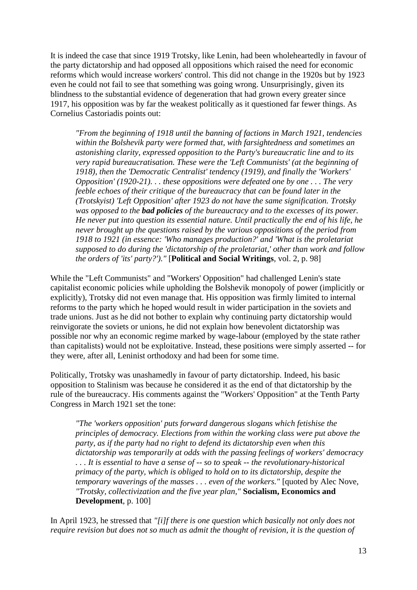It is indeed the case that since 1919 Trotsky, like Lenin, had been wholeheartedly in favour of the party dictatorship and had opposed all oppositions which raised the need for economic reforms which would increase workers' control. This did not change in the 1920s but by 1923 even he could not fail to see that something was going wrong. Unsurprisingly, given its blindness to the substantial evidence of degeneration that had grown every greater since 1917, his opposition was by far the weakest politically as it questioned far fewer things. As Cornelius Castoriadis points out:

*"From the beginning of 1918 until the banning of factions in March 1921, tendencies within the Bolshevik party were formed that, with farsightedness and sometimes an astonishing clarity, expressed opposition to the Party's bureaucratic line and to its very rapid bureaucratisation. These were the 'Left Communists' (at the beginning of 1918), then the 'Democratic Centralist' tendency (1919), and finally the 'Workers' Opposition' (1920-21). . . these oppositions were defeated one by one . . . The very feeble echoes of their critique of the bureaucracy that can be found later in the (Trotskyist) 'Left Opposition' after 1923 do not have the same signification. Trotsky was opposed to the bad policies of the bureaucracy and to the excesses of its power. He never put into question its essential nature. Until practically the end of his life, he never brought up the questions raised by the various oppositions of the period from 1918 to 1921 (in essence: 'Who manages production?' and 'What is the proletariat supposed to do during the 'dictatorship of the proletariat,' other than work and follow the orders of 'its' party?')."* [**Political and Social Writings**, vol. 2, p. 98]

While the "Left Communists" and "Workers' Opposition" had challenged Lenin's state capitalist economic policies while upholding the Bolshevik monopoly of power (implicitly or explicitly), Trotsky did not even manage that. His opposition was firmly limited to internal reforms to the party which he hoped would result in wider participation in the soviets and trade unions. Just as he did not bother to explain why continuing party dictatorship would reinvigorate the soviets or unions, he did not explain how benevolent dictatorship was possible nor why an economic regime marked by wage-labour (employed by the state rather than capitalists) would not be exploitative. Instead, these positions were simply asserted -- for they were, after all, Leninist orthodoxy and had been for some time.

Politically, Trotsky was unashamedly in favour of party dictatorship. Indeed, his basic opposition to Stalinism was because he considered it as the end of that dictatorship by the rule of the bureaucracy. His comments against the "Workers' Opposition" at the Tenth Party Congress in March 1921 set the tone:

*"The 'workers opposition' puts forward dangerous slogans which fetishise the principles of democracy. Elections from within the working class were put above the party, as if the party had no right to defend its dictatorship even when this dictatorship was temporarily at odds with the passing feelings of workers' democracy . . . It is essential to have a sense of -- so to speak -- the revolutionary-historical primacy of the party, which is obliged to hold on to its dictatorship, despite the temporary waverings of the masses . . . even of the workers."* [quoted by Alec Nove, *"Trotsky, collectivization and the five year plan,"* **Socialism, Economics and Development**, p. 100]

In April 1923, he stressed that *"[i]f there is one question which basically not only does not require revision but does not so much as admit the thought of revision, it is the question of*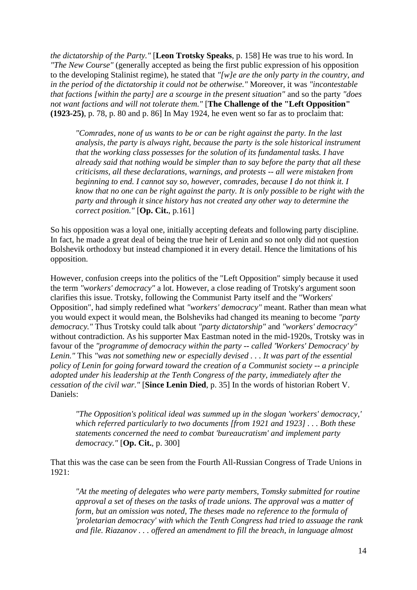*the dictatorship of the Party."* [**Leon Trotsky Speaks**, p. 158] He was true to his word. In *"The New Course"* (generally accepted as being the first public expression of his opposition to the developing Stalinist regime), he stated that *"[w]e are the only party in the country, and in the period of the dictatorship it could not be otherwise."* Moreover, it was *"incontestable that factions [within the party] are a scourge in the present situation"* and so the party *"does not want factions and will not tolerate them."* [**The Challenge of the "Left Opposition" (1923-25)**, p. 78, p. 80 and p. 86] In May 1924, he even went so far as to proclaim that:

*"Comrades, none of us wants to be or can be right against the party. In the last analysis, the party is always right, because the party is the sole historical instrument that the working class possesses for the solution of its fundamental tasks. I have already said that nothing would be simpler than to say before the party that all these criticisms, all these declarations, warnings, and protests -- all were mistaken from beginning to end. I cannot say so, however, comrades, because I do not think it. I know that no one can be right against the party. It is only possible to be right with the party and through it since history has not created any other way to determine the correct position."* [**Op. Cit.**, p.161]

So his opposition was a loyal one, initially accepting defeats and following party discipline. In fact, he made a great deal of being the true heir of Lenin and so not only did not question Bolshevik orthodoxy but instead championed it in every detail. Hence the limitations of his opposition.

However, confusion creeps into the politics of the "Left Opposition" simply because it used the term *"workers' democracy"* a lot. However, a close reading of Trotsky's argument soon clarifies this issue. Trotsky, following the Communist Party itself and the "Workers' Opposition", had simply redefined what *"workers' democracy"* meant. Rather than mean what you would expect it would mean, the Bolsheviks had changed its meaning to become *"party democracy."* Thus Trotsky could talk about *"party dictatorship"* and *"workers' democracy"* without contradiction. As his supporter Max Eastman noted in the mid-1920s, Trotsky was in favour of the *"programme of democracy within the party -- called 'Workers' Democracy' by Lenin."* This *"was not something new or especially devised . . . It was part of the essential policy of Lenin for going forward toward the creation of a Communist society -- a principle adopted under his leadership at the Tenth Congress of the party, immediately after the cessation of the civil war."* [**Since Lenin Died**, p. 35] In the words of historian Robert V. Daniels:

*"The Opposition's political ideal was summed up in the slogan 'workers' democracy,' which referred particularly to two documents [from 1921 and 1923] . . . Both these statements concerned the need to combat 'bureaucratism' and implement party democracy."* [**Op. Cit.**, p. 300]

That this was the case can be seen from the Fourth All-Russian Congress of Trade Unions in 1921:

*"At the meeting of delegates who were party members, Tomsky submitted for routine approval a set of theses on the tasks of trade unions. The approval was a matter of form, but an omission was noted, The theses made no reference to the formula of 'proletarian democracy' with which the Tenth Congress had tried to assuage the rank and file. Riazanov . . . offered an amendment to fill the breach, in language almost*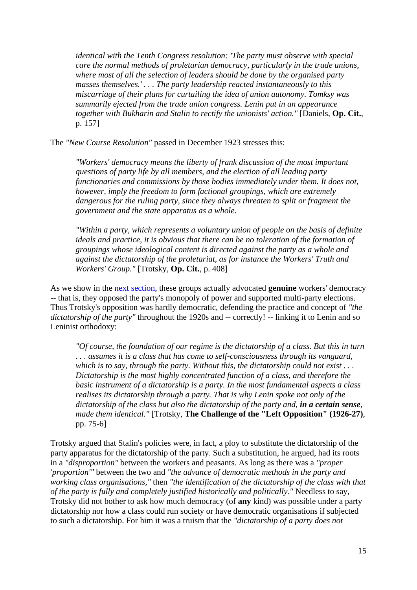*identical with the Tenth Congress resolution: 'The party must observe with special care the normal methods of proletarian democracy, particularly in the trade unions, where most of all the selection of leaders should be done by the organised party masses themselves.' . . . The party leadership reacted instantaneously to this miscarriage of their plans for curtailing the idea of union autonomy. Tomksy was summarily ejected from the trade union congress. Lenin put in an appearance together with Bukharin and Stalin to rectify the unionists' action."* [Daniels, **Op. Cit.**, p. 157]

The *"New Course Resolution"* passed in December 1923 stresses this:

*"Workers' democracy means the liberty of frank discussion of the most important questions of party life by all members, and the election of all leading party functionaries and commissions by those bodies immediately under them. It does not, however, imply the freedom to form factional groupings, which are extremely dangerous for the ruling party, since they always threaten to split or fragment the government and the state apparatus as a whole.*

*"Within a party, which represents a voluntary union of people on the basis of definite ideals and practice, it is obvious that there can be no toleration of the formation of groupings whose ideological content is directed against the party as a whole and against the dictatorship of the proletariat, as for instance the Workers' Truth and Workers' Group."* [Trotsky, **Op. Cit.**, p. 408]

As we show in the [next section,](append45#app4) these groups actually advocated **genuine** workers' democracy -- that is, they opposed the party's monopoly of power and supported multi-party elections. Thus Trotsky's opposition was hardly democratic, defending the practice and concept of *"the dictatorship of the party"* throughout the 1920s and -- correctly! -- linking it to Lenin and so Leninist orthodoxy:

*"Of course, the foundation of our regime is the dictatorship of a class. But this in turn . . . assumes it is a class that has come to self-consciousness through its vanguard, which is to say, through the party. Without this, the dictatorship could not exist . . . Dictatorship is the most highly concentrated function of a class, and therefore the basic instrument of a dictatorship is a party. In the most fundamental aspects a class realises its dictatorship through a party. That is why Lenin spoke not only of the dictatorship of the class but also the dictatorship of the party and, in a certain sense, made them identical."* [Trotsky, **The Challenge of the "Left Opposition" (1926-27)**, pp. 75-6]

Trotsky argued that Stalin's policies were, in fact, a ploy to substitute the dictatorship of the party apparatus for the dictatorship of the party. Such a substitution, he argued, had its roots in a *"disproportion"* between the workers and peasants. As long as there was a *"proper 'proportion'"* between the two and *"the advance of democratic methods in the party and working class organisations,"* then *"the identification of the dictatorship of the class with that of the party is fully and completely justified historically and politically."* Needless to say, Trotsky did not bother to ask how much democracy (of **any** kind) was possible under a party dictatorship nor how a class could run society or have democratic organisations if subjected to such a dictatorship. For him it was a truism that the *"dictatorship of a party does not*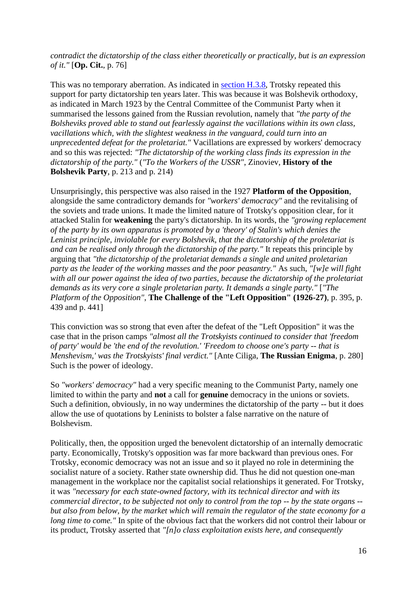*contradict the dictatorship of the class either theoretically or practically, but is an expression of it."* [**Op. Cit.**, p. 76]

This was no temporary aberration. As indicated in [section H.3.8,](sectionH.html#sech38) Trotsky repeated this support for party dictatorship ten years later. This was because it was Bolshevik orthodoxy, as indicated in March 1923 by the Central Committee of the Communist Party when it summarised the lessons gained from the Russian revolution, namely that *"the party of the Bolsheviks proved able to stand out fearlessly against the vacillations within its own class, vacillations which, with the slightest weakness in the vanguard, could turn into an unprecedented defeat for the proletariat."* Vacillations are expressed by workers' democracy and so this was rejected: *"The dictatorship of the working class finds its expression in the dictatorship of the party."* (*"To the Workers of the USSR"*, Zinoviev, **History of the Bolshevik Party**, p. 213 and p. 214)

Unsurprisingly, this perspective was also raised in the 1927 **Platform of the Opposition**, alongside the same contradictory demands for *"workers' democracy"* and the revitalising of the soviets and trade unions. It made the limited nature of Trotsky's opposition clear, for it attacked Stalin for **weakening** the party's dictatorship. In its words, the *"growing replacement of the party by its own apparatus is promoted by a 'theory' of Stalin's which denies the Leninist principle, inviolable for every Bolshevik, that the dictatorship of the proletariat is and can be realised only through the dictatorship of the party."* It repeats this principle by arguing that *"the dictatorship of the proletariat demands a single and united proletarian party as the leader of the working masses and the poor peasantry."* As such, *"[w]e will fight with all our power against the idea of two parties, because the dictatorship of the proletariat demands as its very core a single proletarian party. It demands a single party."* [*"The Platform of the Opposition"*, **The Challenge of the "Left Opposition" (1926-27)**, p. 395, p. 439 and p. 441]

This conviction was so strong that even after the defeat of the "Left Opposition" it was the case that in the prison camps *"almost all the Trotskyists continued to consider that 'freedom of party' would be 'the end of the revolution.' 'Freedom to choose one's party -- that is Menshevism,' was the Trotskyists' final verdict."* [Ante Ciliga, **The Russian Enigma**, p. 280] Such is the power of ideology.

So *"workers' democracy"* had a very specific meaning to the Communist Party, namely one limited to within the party and **not** a call for **genuine** democracy in the unions or soviets. Such a definition, obviously, in no way undermines the dictatorship of the party -- but it does allow the use of quotations by Leninists to bolster a false narrative on the nature of Bolshevism.

Politically, then, the opposition urged the benevolent dictatorship of an internally democratic party. Economically, Trotsky's opposition was far more backward than previous ones. For Trotsky, economic democracy was not an issue and so it played no role in determining the socialist nature of a society. Rather state ownership did. Thus he did not question one-man management in the workplace nor the capitalist social relationships it generated. For Trotsky, it was *"necessary for each state-owned factory, with its technical director and with its commercial director, to be subjected not only to control from the top -- by the state organs - but also from below, by the market which will remain the regulator of the state economy for a long time to come.*" In spite of the obvious fact that the workers did not control their labour or its product, Trotsky asserted that *"[n]o class exploitation exists here, and consequently*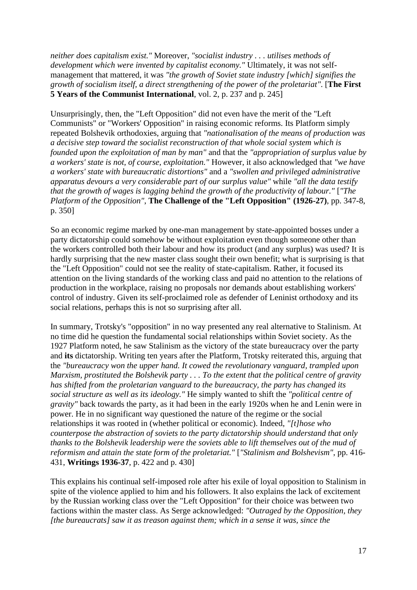*neither does capitalism exist."* Moreover, *"socialist industry . . . utilises methods of development which were invented by capitalist economy."* Ultimately, it was not selfmanagement that mattered, it was *"the growth of Soviet state industry [which] signifies the growth of socialism itself, a direct strengthening of the power of the proletariat"*. [**The First 5 Years of the Communist International**, vol. 2, p. 237 and p. 245]

Unsurprisingly, then, the "Left Opposition" did not even have the merit of the "Left Communists" or "Workers' Opposition" in raising economic reforms. Its Platform simply repeated Bolshevik orthodoxies, arguing that *"nationalisation of the means of production was a decisive step toward the socialist reconstruction of that whole social system which is founded upon the exploitation of man by man"* and that the *"appropriation of surplus value by a workers' state is not, of course, exploitation."* However, it also acknowledged that *"we have a workers' state with bureaucratic distortions"* and a *"swollen and privileged administrative apparatus devours a very considerable part of our surplus value"* while *"all the data testify that the growth of wages is lagging behind the growth of the productivity of labour."* [*"The Platform of the Opposition"*, **The Challenge of the "Left Opposition" (1926-27)**, pp. 347-8, p. 350]

So an economic regime marked by one-man management by state-appointed bosses under a party dictatorship could somehow be without exploitation even though someone other than the workers controlled both their labour and how its product (and any surplus) was used? It is hardly surprising that the new master class sought their own benefit; what is surprising is that the "Left Opposition" could not see the reality of state-capitalism. Rather, it focused its attention on the living standards of the working class and paid no attention to the relations of production in the workplace, raising no proposals nor demands about establishing workers' control of industry. Given its self-proclaimed role as defender of Leninist orthodoxy and its social relations, perhaps this is not so surprising after all.

In summary, Trotsky's "opposition" in no way presented any real alternative to Stalinism. At no time did he question the fundamental social relationships within Soviet society. As the 1927 Platform noted, he saw Stalinism as the victory of the state bureaucracy over the party and **its** dictatorship. Writing ten years after the Platform, Trotsky reiterated this, arguing that the *"bureaucracy won the upper hand. It cowed the revolutionary vanguard, trampled upon Marxism, prostituted the Bolshevik party . . . To the extent that the political centre of gravity has shifted from the proletarian vanguard to the bureaucracy, the party has changed its social structure as well as its ideology."* He simply wanted to shift the *"political centre of gravity"* back towards the party, as it had been in the early 1920s when he and Lenin were in power. He in no significant way questioned the nature of the regime or the social relationships it was rooted in (whether political or economic). Indeed, *"[t]hose who counterpose the abstraction of soviets to the party dictatorship should understand that only thanks to the Bolshevik leadership were the soviets able to lift themselves out of the mud of reformism and attain the state form of the proletariat."* [*"Stalinism and Bolshevism"*, pp. 416- 431, **Writings 1936-37**, p. 422 and p. 430]

This explains his continual self-imposed role after his exile of loyal opposition to Stalinism in spite of the violence applied to him and his followers. It also explains the lack of excitement by the Russian working class over the "Left Opposition" for their choice was between two factions within the master class. As Serge acknowledged: *"Outraged by the Opposition, they [the bureaucrats] saw it as treason against them; which in a sense it was, since the*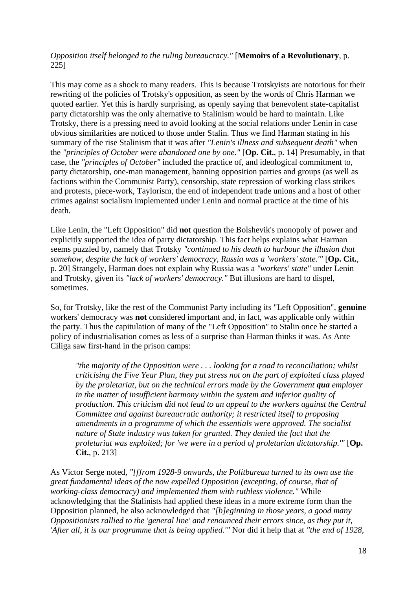#### *Opposition itself belonged to the ruling bureaucracy."* [**Memoirs of a Revolutionary**, p. 225]

This may come as a shock to many readers. This is because Trotskyists are notorious for their rewriting of the policies of Trotsky's opposition, as seen by the words of Chris Harman we quoted earlier. Yet this is hardly surprising, as openly saying that benevolent state-capitalist party dictatorship was the only alternative to Stalinism would be hard to maintain. Like Trotsky, there is a pressing need to avoid looking at the social relations under Lenin in case obvious similarities are noticed to those under Stalin. Thus we find Harman stating in his summary of the rise Stalinism that it was after *"Lenin's illness and subsequent death"* when the *"principles of October were abandoned one by one."* [**Op. Cit.**, p. 14] Presumably, in that case, the *"principles of October"* included the practice of, and ideological commitment to, party dictatorship, one-man management, banning opposition parties and groups (as well as factions within the Communist Party), censorship, state repression of working class strikes and protests, piece-work, Taylorism, the end of independent trade unions and a host of other crimes against socialism implemented under Lenin and normal practice at the time of his death.

Like Lenin, the "Left Opposition" did **not** question the Bolshevik's monopoly of power and explicitly supported the idea of party dictatorship. This fact helps explains what Harman seems puzzled by, namely that Trotsky *"continued to his death to harbour the illusion that somehow, despite the lack of workers' democracy, Russia was a 'workers' state.'"* [**Op. Cit.**, p. 20] Strangely, Harman does not explain why Russia was a *"workers' state"* under Lenin and Trotsky, given its *"lack of workers' democracy."* But illusions are hard to dispel, sometimes.

So, for Trotsky, like the rest of the Communist Party including its "Left Opposition", **genuine** workers' democracy was **not** considered important and, in fact, was applicable only within the party. Thus the capitulation of many of the "Left Opposition" to Stalin once he started a policy of industrialisation comes as less of a surprise than Harman thinks it was. As Ante Ciliga saw first-hand in the prison camps:

*"the majority of the Opposition were . . . looking for a road to reconciliation; whilst criticising the Five Year Plan, they put stress not on the part of exploited class played by the proletariat, but on the technical errors made by the Government qua employer in the matter of insufficient harmony within the system and inferior quality of production. This criticism did not lead to an appeal to the workers against the Central Committee and against bureaucratic authority; it restricted itself to proposing amendments in a programme of which the essentials were approved. The socialist nature of State industry was taken for granted. They denied the fact that the proletariat was exploited; for 'we were in a period of proletarian dictatorship.'"* [**Op. Cit.**, p. 213]

As Victor Serge noted, *"[f]rom 1928-9 onwards, the Politbureau turned to its own use the great fundamental ideas of the now expelled Opposition (excepting, of course, that of working-class democracy) and implemented them with ruthless violence."* While acknowledging that the Stalinists had applied these ideas in a more extreme form than the Opposition planned, he also acknowledged that *"[b]eginning in those years, a good many Oppositionists rallied to the 'general line' and renounced their errors since, as they put it, 'After all, it is our programme that is being applied.'"* Nor did it help that at *"the end of 1928,*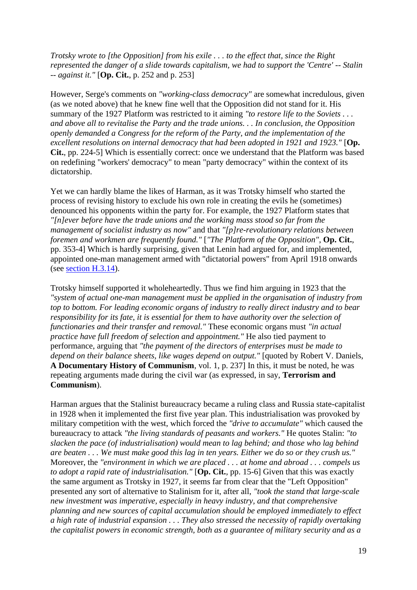*Trotsky wrote to [the Opposition] from his exile . . . to the effect that, since the Right represented the danger of a slide towards capitalism, we had to support the 'Centre' -- Stalin -- against it."* [**Op. Cit.**, p. 252 and p. 253]

However, Serge's comments on *"working-class democracy"* are somewhat incredulous, given (as we noted above) that he knew fine well that the Opposition did not stand for it. His summary of the 1927 Platform was restricted to it aiming *"to restore life to the Soviets . . . and above all to revitalise the Party and the trade unions. . . In conclusion, the Opposition openly demanded a Congress for the reform of the Party, and the implementation of the excellent resolutions on internal democracy that had been adopted in 1921 and 1923."* [**Op. Cit.**, pp. 224-5] Which is essentially correct: once we understand that the Platform was based on redefining "workers' democracy" to mean "party democracy" within the context of its dictatorship.

Yet we can hardly blame the likes of Harman, as it was Trotsky himself who started the process of revising history to exclude his own role in creating the evils he (sometimes) denounced his opponents within the party for. For example, the 1927 Platform states that *"[n]ever before have the trade unions and the working mass stood so far from the management of socialist industry as now"* and that *"[p]re-revolutionary relations between foremen and workmen are frequently found."* [*"The Platform of the Opposition"*, **Op. Cit.**, pp. 353-4] Which is hardly surprising, given that Lenin had argued for, and implemented, appointed one-man management armed with "dictatorial powers" from April 1918 onwards (see [section H.3.14\)](sectionH.html#sech314).

Trotsky himself supported it wholeheartedly. Thus we find him arguing in 1923 that the *"system of actual one-man management must be applied in the organisation of industry from top to bottom. For leading economic organs of industry to really direct industry and to bear responsibility for its fate, it is essential for them to have authority over the selection of functionaries and their transfer and removal."* These economic organs must *"in actual practice have full freedom of selection and appointment."* He also tied payment to performance, arguing that *"the payment of the directors of enterprises must be made to depend on their balance sheets, like wages depend on output."* [quoted by Robert V. Daniels, **A Documentary History of Communism**, vol. 1, p. 237] In this, it must be noted, he was repeating arguments made during the civil war (as expressed, in say, **Terrorism and Communism**).

Harman argues that the Stalinist bureaucracy became a ruling class and Russia state-capitalist in 1928 when it implemented the first five year plan. This industrialisation was provoked by military competition with the west, which forced the *"drive to accumulate"* which caused the bureaucracy to attack *"the living standards of peasants and workers."* He quotes Stalin: *"to slacken the pace (of industrialisation) would mean to lag behind; and those who lag behind are beaten . . . We must make good this lag in ten years. Either we do so or they crush us."* Moreover, the *"environment in which we are placed . . . at home and abroad . . . compels us to adopt a rapid rate of industrialisation."* [**Op. Cit.**, pp. 15-6] Given that this was exactly the same argument as Trotsky in 1927, it seems far from clear that the "Left Opposition" presented any sort of alternative to Stalinism for it, after all, *"took the stand that large-scale new investment was imperative, especially in heavy industry, and that comprehensive planning and new sources of capital accumulation should be employed immediately to effect a high rate of industrial expansion . . . They also stressed the necessity of rapidly overtaking the capitalist powers in economic strength, both as a guarantee of military security and as a*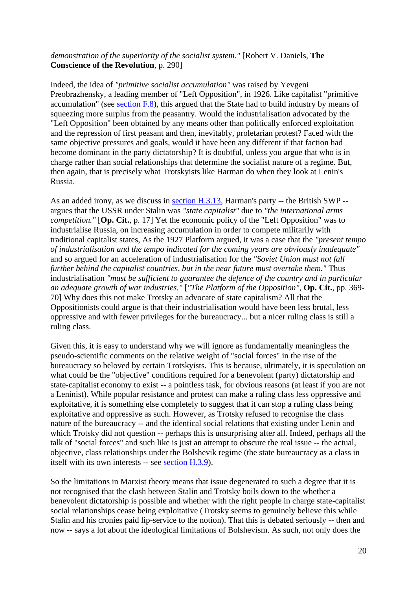#### *demonstration of the superiority of the socialist system."* [Robert V. Daniels, **The Conscience of the Revolution**, p. 290]

Indeed, the idea of *"primitive socialist accumulation"* was raised by Yevgeni Preobrazhensky, a leading member of "Left Opposition", in 1926. Like capitalist "primitive accumulation" (see [section F.8\)](sectionF.html#secf8), this argued that the State had to build industry by means of squeezing more surplus from the peasantry. Would the industrialisation advocated by the "Left Opposition" been obtained by any means other than politically enforced exploitation and the repression of first peasant and then, inevitably, proletarian protest? Faced with the same objective pressures and goals, would it have been any different if that faction had become dominant in the party dictatorship? It is doubtful, unless you argue that who is in charge rather than social relationships that determine the socialist nature of a regime. But, then again, that is precisely what Trotskyists like Harman do when they look at Lenin's Russia.

As an added irony, as we discuss in [section H.3.13,](sectionH.html#sech313) Harman's party -- the British SWP -argues that the USSR under Stalin was *"state capitalist"* due to *"the international arms competition."* [**Op. Cit.**, p. 17] Yet the economic policy of the "Left Opposition" was to industrialise Russia, on increasing accumulation in order to compete militarily with traditional capitalist states, As the 1927 Platform argued, it was a case that the *"present tempo of industrialisation and the tempo indicated for the coming years are obviously inadequate"* and so argued for an acceleration of industrialisation for the *"Soviet Union must not fall further behind the capitalist countries, but in the near future must overtake them."* Thus industrialisation *"must be sufficient to guarantee the defence of the country and in particular an adequate growth of war industries."* [*"The Platform of the Opposition"*, **Op. Cit.**, pp. 369- 70] Why does this not make Trotsky an advocate of state capitalism? All that the Oppositionists could argue is that their industrialisation would have been less brutal, less oppressive and with fewer privileges for the bureaucracy... but a nicer ruling class is still a ruling class.

Given this, it is easy to understand why we will ignore as fundamentally meaningless the pseudo-scientific comments on the relative weight of "social forces" in the rise of the bureaucracy so beloved by certain Trotskyists. This is because, ultimately, it is speculation on what could be the "objective" conditions required for a benevolent (party) dictatorship and state-capitalist economy to exist -- a pointless task, for obvious reasons (at least if you are not a Leninist). While popular resistance and protest can make a ruling class less oppressive and exploitative, it is something else completely to suggest that it can stop a ruling class being exploitative and oppressive as such. However, as Trotsky refused to recognise the class nature of the bureaucracy -- and the identical social relations that existing under Lenin and which Trotsky did not question -- perhaps this is unsurprising after all. Indeed, perhaps all the talk of "social forces" and such like is just an attempt to obscure the real issue -- the actual, objective, class relationships under the Bolshevik regime (the state bureaucracy as a class in itself with its own interests -- see [section H.3.9\)](sectionH.html#sech39).

So the limitations in Marxist theory means that issue degenerated to such a degree that it is not recognised that the clash between Stalin and Trotsky boils down to the whether a benevolent dictatorship is possible and whether with the right people in charge state-capitalist social relationships cease being exploitative (Trotsky seems to genuinely believe this while Stalin and his cronies paid lip-service to the notion). That this is debated seriously -- then and now -- says a lot about the ideological limitations of Bolshevism. As such, not only does the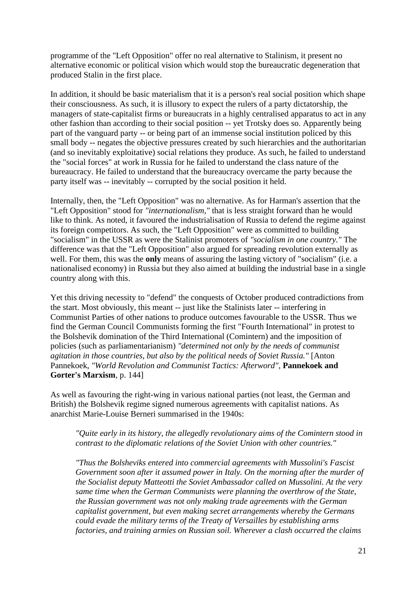programme of the "Left Opposition" offer no real alternative to Stalinism, it present no alternative economic or political vision which would stop the bureaucratic degeneration that produced Stalin in the first place.

In addition, it should be basic materialism that it is a person's real social position which shape their consciousness. As such, it is illusory to expect the rulers of a party dictatorship, the managers of state-capitalist firms or bureaucrats in a highly centralised apparatus to act in any other fashion than according to their social position -- yet Trotsky does so. Apparently being part of the vanguard party -- or being part of an immense social institution policed by this small body -- negates the objective pressures created by such hierarchies and the authoritarian (and so inevitably exploitative) social relations they produce. As such, he failed to understand the "social forces" at work in Russia for he failed to understand the class nature of the bureaucracy. He failed to understand that the bureaucracy overcame the party because the party itself was -- inevitably -- corrupted by the social position it held.

Internally, then, the "Left Opposition" was no alternative. As for Harman's assertion that the "Left Opposition" stood for *"internationalism,"* that is less straight forward than he would like to think. As noted, it favoured the industrialisation of Russia to defend the regime against its foreign competitors. As such, the "Left Opposition" were as committed to building "socialism" in the USSR as were the Stalinist promoters of *"socialism in one country."* The difference was that the "Left Opposition" also argued for spreading revolution externally as well. For them, this was the **only** means of assuring the lasting victory of "socialism" (i.e. a nationalised economy) in Russia but they also aimed at building the industrial base in a single country along with this.

Yet this driving necessity to "defend" the conquests of October produced contradictions from the start. Most obviously, this meant -- just like the Stalinists later -- interfering in Communist Parties of other nations to produce outcomes favourable to the USSR. Thus we find the German Council Communists forming the first "Fourth International" in protest to the Bolshevik domination of the Third International (Comintern) and the imposition of policies (such as parliamentarianism) *"determined not only by the needs of communist agitation in those countries, but also by the political needs of Soviet Russia."* [Anton Pannekoek, *"World Revolution and Communist Tactics: Afterword"*, **Pannekoek and Gorter's Marxism**, p. 144]

As well as favouring the right-wing in various national parties (not least, the German and British) the Bolshevik regime signed numerous agreements with capitalist nations. As anarchist Marie-Louise Berneri summarised in the 1940s:

*"Quite early in its history, the allegedly revolutionary aims of the Comintern stood in contrast to the diplomatic relations of the Soviet Union with other countries."*

*"Thus the Bolsheviks entered into commercial agreements with Mussolini's Fascist Government soon after it assumed power in Italy. On the morning after the murder of the Socialist deputy Matteotti the Soviet Ambassador called on Mussolini. At the very same time when the German Communists were planning the overthrow of the State, the Russian government was not only making trade agreements with the German capitalist government, but even making secret arrangements whereby the Germans could evade the military terms of the Treaty of Versailles by establishing arms factories, and training armies on Russian soil. Wherever a clash occurred the claims*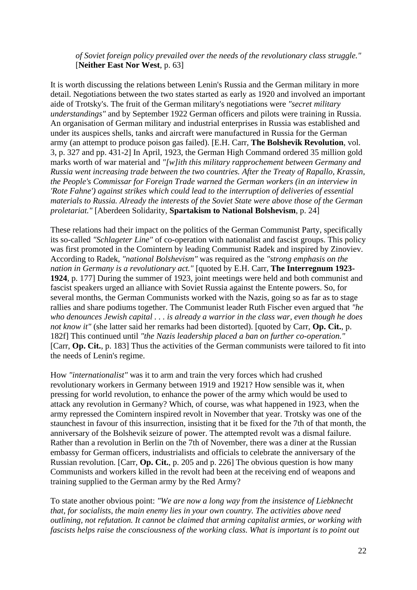#### *of Soviet foreign policy prevailed over the needs of the revolutionary class struggle."* [**Neither East Nor West**, p. 63]

It is worth discussing the relations between Lenin's Russia and the German military in more detail. Negotiations between the two states started as early as 1920 and involved an important aide of Trotsky's. The fruit of the German military's negotiations were *"secret military understandings"* and by September 1922 German officers and pilots were training in Russia. An organisation of German military and industrial enterprises in Russia was established and under its auspices shells, tanks and aircraft were manufactured in Russia for the German army (an attempt to produce poison gas failed). [E.H. Carr, **The Bolshevik Revolution**, vol. 3, p. 327 and pp. 431-2] In April, 1923, the German High Command ordered 35 million gold marks worth of war material and *"[w]ith this military rapprochement between Germany and Russia went increasing trade between the two countries. After the Treaty of Rapallo, Krassin, the People's Commissar for Foreign Trade warned the German workers (in an interview in 'Rote Fahne') against strikes which could lead to the interruption of deliveries of essential materials to Russia. Already the interests of the Soviet State were above those of the German proletariat."* [Aberdeen Solidarity, **Spartakism to National Bolshevism**, p. 24]

These relations had their impact on the politics of the German Communist Party, specifically its so-called *"Schlageter Line"* of co-operation with nationalist and fascist groups. This policy was first promoted in the Comintern by leading Communist Radek and inspired by Zinoviev. According to Radek, *"national Bolshevism"* was required as the *"strong emphasis on the nation in Germany is a revolutionary act."* [quoted by E.H. Carr, **The Interregnum 1923- 1924**, p. 177] During the summer of 1923, joint meetings were held and both communist and fascist speakers urged an alliance with Soviet Russia against the Entente powers. So, for several months, the German Communists worked with the Nazis, going so as far as to stage rallies and share podiums together. The Communist leader Ruth Fischer even argued that *"he who denounces Jewish capital . . . is already a warrior in the class war, even though he does not know it"* (she latter said her remarks had been distorted). [quoted by Carr, **Op. Cit.**, p. 182f] This continued until *"the Nazis leadership placed a ban on further co-operation."* [Carr, **Op. Cit.**, p. 183] Thus the activities of the German communists were tailored to fit into the needs of Lenin's regime.

How *"internationalist"* was it to arm and train the very forces which had crushed revolutionary workers in Germany between 1919 and 1921? How sensible was it, when pressing for world revolution, to enhance the power of the army which would be used to attack any revolution in Germany? Which, of course, was what happened in 1923, when the army repressed the Comintern inspired revolt in November that year. Trotsky was one of the staunchest in favour of this insurrection, insisting that it be fixed for the 7th of that month, the anniversary of the Bolshevik seizure of power. The attempted revolt was a dismal failure. Rather than a revolution in Berlin on the 7th of November, there was a diner at the Russian embassy for German officers, industrialists and officials to celebrate the anniversary of the Russian revolution. [Carr, **Op. Cit.**, p. 205 and p. 226] The obvious question is how many Communists and workers killed in the revolt had been at the receiving end of weapons and training supplied to the German army by the Red Army?

To state another obvious point: *"We are now a long way from the insistence of Liebknecht that, for socialists, the main enemy lies in your own country. The activities above need outlining, not refutation. It cannot be claimed that arming capitalist armies, or working with fascists helps raise the consciousness of the working class. What is important is to point out*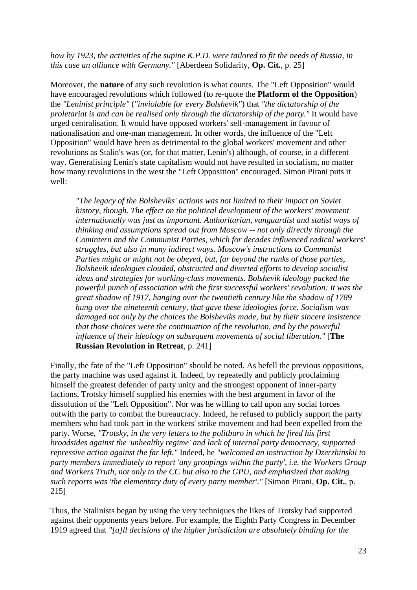#### *how by 1923, the activities of the supine K.P.D. were tailored to fit the needs of Russia, in this case an alliance with Germany."* [Aberdeen Solidarity, **Op. Cit.**, p. 25]

Moreover, the **nature** of any such revolution is what counts. The "Left Opposition" would have encouraged revolutions which followed (to re-quote the **Platform of the Opposition**) the *"Leninist principle"* (*"inviolable for every Bolshevik"*) that *"the dictatorship of the proletariat is and can be realised only through the dictatorship of the party."* It would have urged centralisation. It would have opposed workers' self-management in favour of nationalisation and one-man management. In other words, the influence of the "Left Opposition" would have been as detrimental to the global workers' movement and other revolutions as Stalin's was (or, for that matter, Lenin's) although, of course, in a different way. Generalising Lenin's state capitalism would not have resulted in socialism, no matter how many revolutions in the west the "Left Opposition" encouraged. Simon Pirani puts it well:

*"The legacy of the Bolsheviks' actions was not limited to their impact on Soviet history, though. The effect on the political development of the workers' movement internationally was just as important. Authoritarian, vanguardist and statist ways of thinking and assumptions spread out from Moscow -- not only directly through the Comintern and the Communist Parties, which for decades influenced radical workers' struggles, but also in many indirect ways. Moscow's instructions to Communist Parties might or might not be obeyed, but, far beyond the ranks of those parties, Bolshevik ideologies clouded, obstructed and diverted efforts to develop socialist ideas and strategies for working-class movements. Bolshevik ideology packed the powerful punch of association with the first successful workers' revolution: it was the great shadow of 1917, hanging over the twentieth century like the shadow of 1789 hung over the nineteenth century, that gave these ideologies force. Socialism was damaged not only by the choices the Bolsheviks made, but by their sincere insistence that those choices were the continuation of the revolution, and by the powerful influence of their ideology on subsequent movements of social liberation."* [**The Russian Revolution in Retreat**, p. 241]

Finally, the fate of the "Left Opposition" should be noted. As befell the previous oppositions, the party machine was used against it. Indeed, by repeatedly and publicly proclaiming himself the greatest defender of party unity and the strongest opponent of inner-party factions, Trotsky himself supplied his enemies with the best argument in favor of the dissolution of the "Left Opposition". Nor was he willing to call upon any social forces outwith the party to combat the bureaucracy. Indeed, he refused to publicly support the party members who had took part in the workers' strike movement and had been expelled from the party. Worse, *"Trotsky, in the very letters to the politburo in which he fired his first broadsides against the 'unhealthy regime' and lack of internal party democracy, supported repressive action against the far left."* Indeed, he *"welcomed an instruction by Dzerzhinskii to party members immediately to report 'any groupings within the party', i.e. the Workers Group and Workers Truth, not only to the CC but also to the GPU, and emphasized that making such reports was 'the elementary duty of every party member'."* [Simon Pirani, **Op. Cit.**, p. 215]

Thus, the Stalinists began by using the very techniques the likes of Trotsky had supported against their opponents years before. For example, the Eighth Party Congress in December 1919 agreed that *"[a]ll decisions of the higher jurisdiction are absolutely binding for the*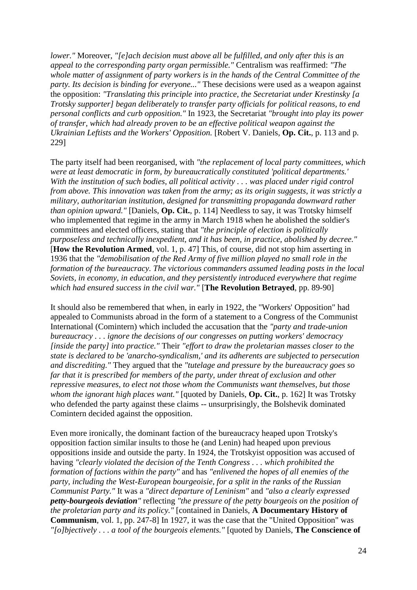*lower."* Moreover, *"[e]ach decision must above all be fulfilled, and only after this is an appeal to the corresponding party organ permissible."* Centralism was reaffirmed: *"The whole matter of assignment of party workers is in the hands of the Central Committee of the party. Its decision is binding for everyone..."* These decisions were used as a weapon against the opposition: *"Translating this principle into practice, the Secretariat under Krestinsky [a Trotsky supporter] began deliberately to transfer party officials for political reasons, to end personal conflicts and curb opposition."* In 1923, the Secretariat *"brought into play its power of transfer, which had already proven to be an effective political weapon against the Ukrainian Leftists and the Workers' Opposition.* [Robert V. Daniels, **Op. Cit.**, p. 113 and p. 229]

The party itself had been reorganised, with *"the replacement of local party committees, which were at least democratic in form, by bureaucratically constituted 'political departments.' With the institution of such bodies, all political activity . . . was placed under rigid control from above. This innovation was taken from the army; as its origin suggests, it was strictly a military, authoritarian institution, designed for transmitting propaganda downward rather than opinion upward."* [Daniels, **Op. Cit.**, p. 114] Needless to say, it was Trotsky himself who implemented that regime in the army in March 1918 when he abolished the soldier's committees and elected officers, stating that *"the principle of election is politically purposeless and technically inexpedient, and it has been, in practice, abolished by decree."* [**How the Revolution Armed**, vol. 1, p. 47] This, of course, did not stop him asserting in 1936 that the *"demobilisation of the Red Army of five million played no small role in the formation of the bureaucracy. The victorious commanders assumed leading posts in the local Soviets, in economy, in education, and they persistently introduced everywhere that regime which had ensured success in the civil war."* [**The Revolution Betrayed**, pp. 89-90]

It should also be remembered that when, in early in 1922, the "Workers' Opposition" had appealed to Communists abroad in the form of a statement to a Congress of the Communist International (Comintern) which included the accusation that the *"party and trade-union bureaucracy . . . ignore the decisions of our congresses on putting workers' democracy [inside the party] into practice."* Their *"effort to draw the proletarian masses closer to the state is declared to be 'anarcho-syndicalism,' and its adherents are subjected to persecution and discrediting."* They argued that the *"tutelage and pressure by the bureaucracy goes so far that it is prescribed for members of the party, under threat of exclusion and other repressive measures, to elect not those whom the Communists want themselves, but those whom the ignorant high places want."* [quoted by Daniels, **Op. Cit.**, p. 162] It was Trotsky who defended the party against these claims -- unsurprisingly, the Bolshevik dominated Comintern decided against the opposition.

Even more ironically, the dominant faction of the bureaucracy heaped upon Trotsky's opposition faction similar insults to those he (and Lenin) had heaped upon previous oppositions inside and outside the party. In 1924, the Trotskyist opposition was accused of having *"clearly violated the decision of the Tenth Congress . . . which prohibited the formation of factions within the party"* and has *"enlivened the hopes of all enemies of the party, including the West-European bourgeoisie, for a split in the ranks of the Russian Communist Party."* It was a *"direct departure of Leninism"* and *"also a clearly expressed petty-bourgeois deviation"* reflecting *"the pressure of the petty bourgeois on the position of the proletarian party and its policy."* [contained in Daniels, **A Documentary History of Communism**, vol. 1, pp. 247-8] In 1927, it was the case that the "United Opposition" was *"[o]bjectively . . . a tool of the bourgeois elements."* [quoted by Daniels, **The Conscience of**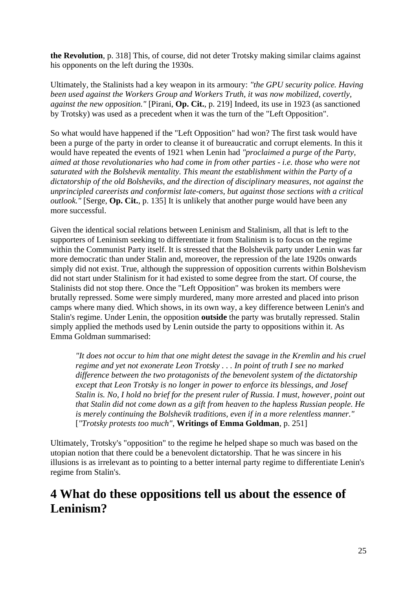**the Revolution**, p. 318] This, of course, did not deter Trotsky making similar claims against his opponents on the left during the 1930s.

Ultimately, the Stalinists had a key weapon in its armoury: *"the GPU security police. Having been used against the Workers Group and Workers Truth, it was now mobilized, covertly, against the new opposition."* [Pirani, **Op. Cit.**, p. 219] Indeed, its use in 1923 (as sanctioned by Trotsky) was used as a precedent when it was the turn of the "Left Opposition".

So what would have happened if the "Left Opposition" had won? The first task would have been a purge of the party in order to cleanse it of bureaucratic and corrupt elements. In this it would have repeated the events of 1921 when Lenin had *"proclaimed a purge of the Party, aimed at those revolutionaries who had come in from other parties - i.e. those who were not saturated with the Bolshevik mentality. This meant the establishment within the Party of a dictatorship of the old Bolsheviks, and the direction of disciplinary measures, not against the unprincipled careerists and conformist late-comers, but against those sections with a critical outlook."* [Serge, **Op. Cit.**, p. 135] It is unlikely that another purge would have been any more successful.

Given the identical social relations between Leninism and Stalinism, all that is left to the supporters of Leninism seeking to differentiate it from Stalinism is to focus on the regime within the Communist Party itself. It is stressed that the Bolshevik party under Lenin was far more democratic than under Stalin and, moreover, the repression of the late 1920s onwards simply did not exist. True, although the suppression of opposition currents within Bolshevism did not start under Stalinism for it had existed to some degree from the start. Of course, the Stalinists did not stop there. Once the "Left Opposition" was broken its members were brutally repressed. Some were simply murdered, many more arrested and placed into prison camps where many died. Which shows, in its own way, a key difference between Lenin's and Stalin's regime. Under Lenin, the opposition **outside** the party was brutally repressed. Stalin simply applied the methods used by Lenin outside the party to oppositions within it. As Emma Goldman summarised:

*"It does not occur to him that one might detest the savage in the Kremlin and his cruel regime and yet not exonerate Leon Trotsky . . . In point of truth I see no marked difference between the two protagonists of the benevolent system of the dictatorship except that Leon Trotsky is no longer in power to enforce its blessings, and Josef Stalin is. No, I hold no brief for the present ruler of Russia. I must, however, point out that Stalin did not come down as a gift from heaven to the hapless Russian people. He is merely continuing the Bolshevik traditions, even if in a more relentless manner."* [*"Trotsky protests too much"*, **Writings of Emma Goldman**, p. 251]

Ultimately, Trotsky's "opposition" to the regime he helped shape so much was based on the utopian notion that there could be a benevolent dictatorship. That he was sincere in his illusions is as irrelevant as to pointing to a better internal party regime to differentiate Lenin's regime from Stalin's.

### <span id="page-24-0"></span>**4 What do these oppositions tell us about the essence of Leninism?**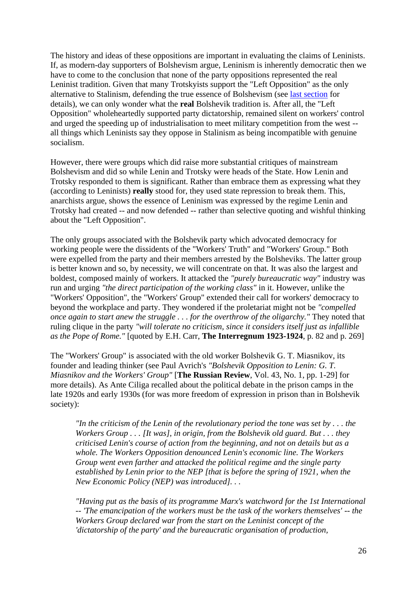The history and ideas of these oppositions are important in evaluating the claims of Leninists. If, as modern-day supporters of Bolshevism argue, Leninism is inherently democratic then we have to come to the conclusion that none of the party oppositions represented the real Leninist tradition. Given that many Trotskyists support the "Left Opposition" as the only alternative to Stalinism, defending the true essence of Bolshevism (see [last section](append31.html#app15) for details), we can only wonder what the **real** Bolshevik tradition is. After all, the "Left Opposition" wholeheartedly supported party dictatorship, remained silent on workers' control and urged the speeding up of industrialisation to meet military competition from the west - all things which Leninists say they oppose in Stalinism as being incompatible with genuine socialism.

However, there were groups which did raise more substantial critiques of mainstream Bolshevism and did so while Lenin and Trotsky were heads of the State. How Lenin and Trotsky responded to them is significant. Rather than embrace them as expressing what they (according to Leninists) **really** stood for, they used state repression to break them. This, anarchists argue, shows the essence of Leninism was expressed by the regime Lenin and Trotsky had created -- and now defended -- rather than selective quoting and wishful thinking about the "Left Opposition".

The only groups associated with the Bolshevik party which advocated democracy for working people were the dissidents of the "Workers' Truth" and "Workers' Group." Both were expelled from the party and their members arrested by the Bolsheviks. The latter group is better known and so, by necessity, we will concentrate on that. It was also the largest and boldest, composed mainly of workers. It attacked the *"purely bureaucratic way"* industry was run and urging *"the direct participation of the working class"* in it. However, unlike the "Workers' Opposition", the "Workers' Group" extended their call for workers' democracy to beyond the workplace and party. They wondered if the proletariat might not be *"compelled once again to start anew the struggle . . . for the overthrow of the oligarchy."* They noted that ruling clique in the party *"will tolerate no criticism, since it considers itself just as infallible as the Pope of Rome."* [quoted by E.H. Carr, **The Interregnum 1923-1924**, p. 82 and p. 269]

The "Workers' Group" is associated with the old worker Bolshevik G. T. Miasnikov, its founder and leading thinker (see Paul Avrich's *"Bolshevik Opposition to Lenin: G. T. Miasnikov and the Workers' Group"* [**The Russian Review**, Vol. 43, No. 1, pp. 1-29] for more details). As Ante Ciliga recalled about the political debate in the prison camps in the late 1920s and early 1930s (for was more freedom of expression in prison than in Bolshevik society):

*"In the criticism of the Lenin of the revolutionary period the tone was set by . . . the Workers Group . . . [It was], in origin, from the Bolshevik old guard. But . . . they criticised Lenin's course of action from the beginning, and not on details but as a whole. The Workers Opposition denounced Lenin's economic line. The Workers Group went even farther and attacked the political regime and the single party established by Lenin prior to the NEP [that is before the spring of 1921, when the New Economic Policy (NEP) was introduced]. . .* 

*"Having put as the basis of its programme Marx's watchword for the 1st International -- 'The emancipation of the workers must be the task of the workers themselves' -- the Workers Group declared war from the start on the Leninist concept of the 'dictatorship of the party' and the bureaucratic organisation of production,*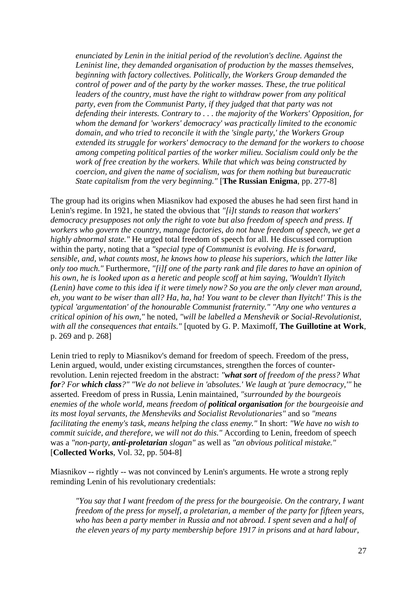*enunciated by Lenin in the initial period of the revolution's decline. Against the Leninist line, they demanded organisation of production by the masses themselves, beginning with factory collectives. Politically, the Workers Group demanded the control of power and of the party by the worker masses. These, the true political leaders of the country, must have the right to withdraw power from any political party, even from the Communist Party, if they judged that that party was not defending their interests. Contrary to . . . the majority of the Workers' Opposition, for whom the demand for 'workers' democracy' was practically limited to the economic domain, and who tried to reconcile it with the 'single party,' the Workers Group extended its struggle for workers' democracy to the demand for the workers to choose among competing political parties of the worker milieu. Socialism could only be the work of free creation by the workers. While that which was being constructed by coercion, and given the name of socialism, was for them nothing but bureaucratic State capitalism from the very beginning."* [**The Russian Enigma**, pp. 277-8]

The group had its origins when Miasnikov had exposed the abuses he had seen first hand in Lenin's regime. In 1921, he stated the obvious that *"[i]t stands to reason that workers' democracy presupposes not only the right to vote but also freedom of speech and press. If workers who govern the country, manage factories, do not have freedom of speech, we get a highly abnormal state."* He urged total freedom of speech for all. He discussed corruption within the party, noting that a *"special type of Communist is evolving. He is forward, sensible, and, what counts most, he knows how to please his superiors, which the latter like only too much."* Furthermore, *"[i]f one of the party rank and file dares to have an opinion of his own, he is looked upon as a heretic and people scoff at him saying, 'Wouldn't Ilyitch (Lenin) have come to this idea if it were timely now? So you are the only clever man around, eh, you want to be wiser than all? Ha, ha, ha! You want to be clever than Ilyitch!' This is the typical 'argumentation' of the honourable Communist fraternity." "Any one who ventures a critical opinion of his own,"* he noted, *"will be labelled a Menshevik or Social-Revolutionist, with all the consequences that entails."* [quoted by G. P. Maximoff, **The Guillotine at Work**, p. 269 and p. 268]

Lenin tried to reply to Miasnikov's demand for freedom of speech. Freedom of the press, Lenin argued, would, under existing circumstances, strengthen the forces of counterrevolution. Lenin rejected freedom in the abstract: *"what sort of freedom of the press? What for? For which class?" "We do not believe in 'absolutes.' We laugh at 'pure democracy,'"* he asserted. Freedom of press in Russia, Lenin maintained, *"surrounded by the bourgeois enemies of the whole world, means freedom of political organisation for the bourgeoisie and its most loyal servants, the Mensheviks and Socialist Revolutionaries"* and so *"means facilitating the enemy's task, means helping the class enemy."* In short: *"We have no wish to commit suicide, and therefore, we will not do this."* According to Lenin, freedom of speech was a *"non-party, anti-proletarian slogan"* as well as *"an obvious political mistake."* [**Collected Works**, Vol. 32, pp. 504-8]

Miasnikov -- rightly -- was not convinced by Lenin's arguments. He wrote a strong reply reminding Lenin of his revolutionary credentials:

*"You say that I want freedom of the press for the bourgeoisie. On the contrary, I want freedom of the press for myself, a proletarian, a member of the party for fifteen years, who has been a party member in Russia and not abroad. I spent seven and a half of the eleven years of my party membership before 1917 in prisons and at hard labour,*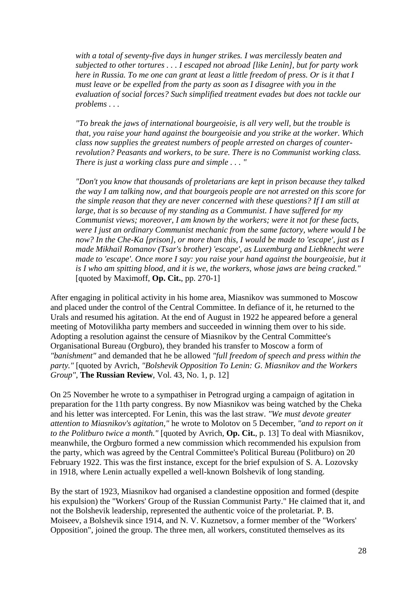*with a total of seventy-five days in hunger strikes. I was mercilessly beaten and subjected to other tortures . . . I escaped not abroad [like Lenin], but for party work here in Russia. To me one can grant at least a little freedom of press. Or is it that I must leave or be expelled from the party as soon as I disagree with you in the evaluation of social forces? Such simplified treatment evades but does not tackle our problems . . .* 

*"To break the jaws of international bourgeoisie, is all very well, but the trouble is that, you raise your hand against the bourgeoisie and you strike at the worker. Which class now supplies the greatest numbers of people arrested on charges of counterrevolution? Peasants and workers, to be sure. There is no Communist working class. There is just a working class pure and simple . . . "*

*"Don't you know that thousands of proletarians are kept in prison because they talked the way I am talking now, and that bourgeois people are not arrested on this score for the simple reason that they are never concerned with these questions? If I am still at large, that is so because of my standing as a Communist. I have suffered for my Communist views; moreover, I am known by the workers; were it not for these facts, were I just an ordinary Communist mechanic from the same factory, where would I be now? In the Che-Ka [prison], or more than this, I would be made to 'escape', just as I made Mikhail Romanov (Tsar's brother) 'escape', as Luxemburg and Liebknecht were made to 'escape'. Once more I say: you raise your hand against the bourgeoisie, but it is I who am spitting blood, and it is we, the workers, whose jaws are being cracked."* [quoted by Maximoff, **Op. Cit.**, pp. 270-1]

After engaging in political activity in his home area, Miasnikov was summoned to Moscow and placed under the control of the Central Committee. In defiance of it, he returned to the Urals and resumed his agitation. At the end of August in 1922 he appeared before a general meeting of Motovilikha party members and succeeded in winning them over to his side. Adopting a resolution against the censure of Miasnikov by the Central Committee's Organisational Bureau (Orgburo), they branded his transfer to Moscow a form of *"banishment"* and demanded that he be allowed *"full freedom of speech and press within the party."* [quoted by Avrich, *"Bolshevik Opposition To Lenin: G. Miasnikov and the Workers Group"*, **The Russian Review**, Vol. 43, No. 1, p. 12]

On 25 November he wrote to a sympathiser in Petrograd urging a campaign of agitation in preparation for the 11th party congress. By now Miasnikov was being watched by the Cheka and his letter was intercepted. For Lenin, this was the last straw. *"We must devote greater attention to Miasnikov's agitation,"* he wrote to Molotov on 5 December, *"and to report on it to the Politburo twice a month."* [quoted by Avrich, **Op. Cit.**, p. 13] To deal with Miasnikov, meanwhile, the Orgburo formed a new commission which recommended his expulsion from the party, which was agreed by the Central Committee's Political Bureau (Politburo) on 20 February 1922. This was the first instance, except for the brief expulsion of S. A. Lozovsky in 1918, where Lenin actually expelled a well-known Bolshevik of long standing.

By the start of 1923, Miasnikov had organised a clandestine opposition and formed (despite his expulsion) the "Workers' Group of the Russian Communist Party." He claimed that it, and not the Bolshevik leadership, represented the authentic voice of the proletariat. P. B. Moiseev, a Bolshevik since 1914, and N. V. Kuznetsov, a former member of the "Workers' Opposition", joined the group. The three men, all workers, constituted themselves as its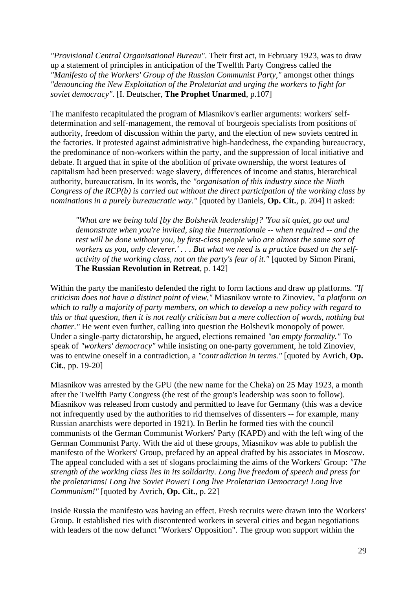*"Provisional Central Organisational Bureau"*. Their first act, in February 1923, was to draw up a statement of principles in anticipation of the Twelfth Party Congress called the *"Manifesto of the Workers' Group of the Russian Communist Party,"* amongst other things *"denouncing the New Exploitation of the Proletariat and urging the workers to fight for soviet democracy"*. [I. Deutscher, **The Prophet Unarmed**, p.107]

The manifesto recapitulated the program of Miasnikov's earlier arguments: workers' selfdetermination and self-management, the removal of bourgeois specialists from positions of authority, freedom of discussion within the party, and the election of new soviets centred in the factories. It protested against administrative high-handedness, the expanding bureaucracy, the predominance of non-workers within the party, and the suppression of local initiative and debate. It argued that in spite of the abolition of private ownership, the worst features of capitalism had been preserved: wage slavery, differences of income and status, hierarchical authority, bureaucratism. In its words, the *"organisation of this industry since the Ninth Congress of the RCP(b) is carried out without the direct participation of the working class by nominations in a purely bureaucratic way."* [quoted by Daniels, **Op. Cit.**, p. 204] It asked:

*"What are we being told [by the Bolshevik leadership]? 'You sit quiet, go out and demonstrate when you're invited, sing the Internationale -- when required -- and the rest will be done without you, by first-class people who are almost the same sort of workers as you, only cleverer.' . . . But what we need is a practice based on the selfactivity of the working class, not on the party's fear of it."* [quoted by Simon Pirani, **The Russian Revolution in Retreat**, p. 142]

Within the party the manifesto defended the right to form factions and draw up platforms. *"If criticism does not have a distinct point of view,"* Miasnikov wrote to Zinoviev, *"a platform on which to rally a majority of party members, on which to develop a new policy with regard to this or that question, then it is not really criticism but a mere collection of words, nothing but chatter."* He went even further, calling into question the Bolshevik monopoly of power. Under a single-party dictatorship, he argued, elections remained *"an empty formality."* To speak of *"workers' democracy"* while insisting on one-party government, he told Zinoviev, was to entwine oneself in a contradiction, a *"contradiction in terms."* [quoted by Avrich, **Op. Cit.**, pp. 19-20]

Miasnikov was arrested by the GPU (the new name for the Cheka) on 25 May 1923, a month after the Twelfth Party Congress (the rest of the group's leadership was soon to follow). Miasnikov was released from custody and permitted to leave for Germany (this was a device not infrequently used by the authorities to rid themselves of dissenters -- for example, many Russian anarchists were deported in 1921). In Berlin he formed ties with the council communists of the German Communist Workers' Party (KAPD) and with the left wing of the German Communist Party. With the aid of these groups, Miasnikov was able to publish the manifesto of the Workers' Group, prefaced by an appeal drafted by his associates in Moscow. The appeal concluded with a set of slogans proclaiming the aims of the Workers' Group: *"The strength of the working class lies in its solidarity. Long live freedom of speech and press for the proletarians! Long live Soviet Power! Long live Proletarian Democracy! Long live Communism!"* [quoted by Avrich, **Op. Cit.**, p. 22]

Inside Russia the manifesto was having an effect. Fresh recruits were drawn into the Workers' Group. It established ties with discontented workers in several cities and began negotiations with leaders of the now defunct "Workers' Opposition". The group won support within the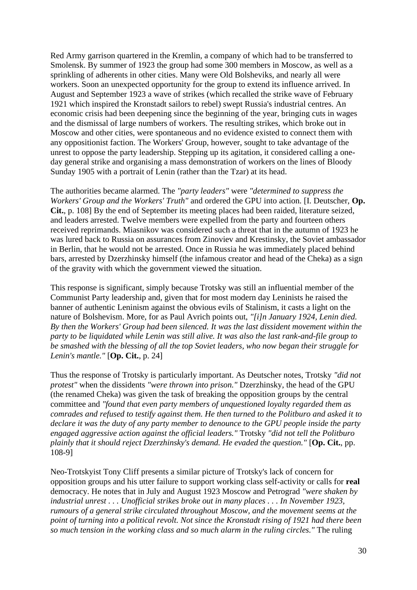Red Army garrison quartered in the Kremlin, a company of which had to be transferred to Smolensk. By summer of 1923 the group had some 300 members in Moscow, as well as a sprinkling of adherents in other cities. Many were Old Bolsheviks, and nearly all were workers. Soon an unexpected opportunity for the group to extend its influence arrived. In August and September 1923 a wave of strikes (which recalled the strike wave of February 1921 which inspired the Kronstadt sailors to rebel) swept Russia's industrial centres. An economic crisis had been deepening since the beginning of the year, bringing cuts in wages and the dismissal of large numbers of workers. The resulting strikes, which broke out in Moscow and other cities, were spontaneous and no evidence existed to connect them with any oppositionist faction. The Workers' Group, however, sought to take advantage of the unrest to oppose the party leadership. Stepping up its agitation, it considered calling a oneday general strike and organising a mass demonstration of workers on the lines of Bloody Sunday 1905 with a portrait of Lenin (rather than the Tzar) at its head.

The authorities became alarmed. The *"party leaders"* were *"determined to suppress the Workers' Group and the Workers' Truth"* and ordered the GPU into action. [I. Deutscher, **Op. Cit.**, p. 108] By the end of September its meeting places had been raided, literature seized, and leaders arrested. Twelve members were expelled from the party and fourteen others received reprimands. Miasnikov was considered such a threat that in the autumn of 1923 he was lured back to Russia on assurances from Zinoviev and Krestinsky, the Soviet ambassador in Berlin, that he would not be arrested. Once in Russia he was immediately placed behind bars, arrested by Dzerzhinsky himself (the infamous creator and head of the Cheka) as a sign of the gravity with which the government viewed the situation.

This response is significant, simply because Trotsky was still an influential member of the Communist Party leadership and, given that for most modern day Leninists he raised the banner of authentic Leninism against the obvious evils of Stalinism, it casts a light on the nature of Bolshevism. More, for as Paul Avrich points out, *"[i]n January 1924, Lenin died. By then the Workers' Group had been silenced. It was the last dissident movement within the party to be liquidated while Lenin was still alive. It was also the last rank-and-file group to be smashed with the blessing of all the top Soviet leaders, who now began their struggle for Lenin's mantle."* [**Op. Cit.**, p. 24]

Thus the response of Trotsky is particularly important. As Deutscher notes, Trotsky *"did not protest"* when the dissidents *"were thrown into prison."* Dzerzhinsky, the head of the GPU (the renamed Cheka) was given the task of breaking the opposition groups by the central committee and *"found that even party members of unquestioned loyalty regarded them as comrades and refused to testify against them. He then turned to the Politburo and asked it to declare it was the duty of any party member to denounce to the GPU people inside the party engaged aggressive action against the official leaders."* Trotsky *"did not tell the Politburo plainly that it should reject Dzerzhinsky's demand. He evaded the question."* [**Op. Cit.**, pp. 108-9]

Neo-Trotskyist Tony Cliff presents a similar picture of Trotsky's lack of concern for opposition groups and his utter failure to support working class self-activity or calls for **real** democracy. He notes that in July and August 1923 Moscow and Petrograd *"were shaken by industrial unrest . . . Unofficial strikes broke out in many places . . . In November 1923, rumours of a general strike circulated throughout Moscow, and the movement seems at the point of turning into a political revolt. Not since the Kronstadt rising of 1921 had there been so much tension in the working class and so much alarm in the ruling circles."* The ruling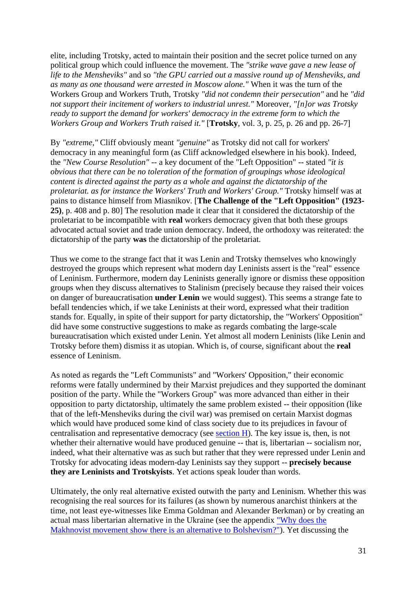elite, including Trotsky, acted to maintain their position and the secret police turned on any political group which could influence the movement. The *"strike wave gave a new lease of life to the Mensheviks"* and so *"the GPU carried out a massive round up of Mensheviks, and as many as one thousand were arrested in Moscow alone."* When it was the turn of the Workers Group and Workers Truth, Trotsky *"did not condemn their persecution"* and he *"did not support their incitement of workers to industrial unrest."* Moreover, *"[n]or was Trotsky ready to support the demand for workers' democracy in the extreme form to which the Workers Group and Workers Truth raised it."* [**Trotsky**, vol. 3, p. 25, p. 26 and pp. 26-7]

By *"extreme,"* Cliff obviously meant *"genuine"* as Trotsky did not call for workers' democracy in any meaningful form (as Cliff acknowledged elsewhere in his book). Indeed, the *"New Course Resolution"* -- a key document of the "Left Opposition" -- stated *"it is obvious that there can be no toleration of the formation of groupings whose ideological content is directed against the party as a whole and against the dictatorship of the proletariat. as for instance the Workers' Truth and Workers' Group."* Trotsky himself was at pains to distance himself from Miasnikov. [**The Challenge of the "Left Opposition" (1923- 25)**, p. 408 and p. 80] The resolution made it clear that it considered the dictatorship of the proletariat to be incompatible with **real** workers democracy given that both these groups advocated actual soviet and trade union democracy. Indeed, the orthodoxy was reiterated: the dictatorship of the party **was** the dictatorship of the proletariat.

Thus we come to the strange fact that it was Lenin and Trotsky themselves who knowingly destroyed the groups which represent what modern day Leninists assert is the "real" essence of Leninism. Furthermore, modern day Leninists generally ignore or dismiss these opposition groups when they discuss alternatives to Stalinism (precisely because they raised their voices on danger of bureaucratisation **under Lenin** we would suggest). This seems a strange fate to befall tendencies which, if we take Leninists at their word, expressed what their tradition stands for. Equally, in spite of their support for party dictatorship, the "Workers' Opposition" did have some constructive suggestions to make as regards combating the large-scale bureaucratisation which existed under Lenin. Yet almost all modern Leninists (like Lenin and Trotsky before them) dismiss it as utopian. Which is, of course, significant about the **real** essence of Leninism.

As noted as regards the "Left Communists" and "Workers' Opposition," their economic reforms were fatally undermined by their Marxist prejudices and they supported the dominant position of the party. While the "Workers Group" was more advanced than either in their opposition to party dictatorship, ultimately the same problem existed -- their opposition (like that of the left-Mensheviks during the civil war) was premised on certain Marxist dogmas which would have produced some kind of class society due to its prejudices in favour of centralisation and representative democracy (see [section H\)](sectionH.html). The key issue is, then, is not whether their alternative would have produced genuine -- that is, libertarian -- socialism nor, indeed, what their alternative was as such but rather that they were repressed under Lenin and Trotsky for advocating ideas modern-day Leninists say they support -- **precisely because they are Leninists and Trotskyists**. Yet actions speak louder than words.

Ultimately, the only real alternative existed outwith the party and Leninism. Whether this was recognising the real sources for its failures (as shown by numerous anarchist thinkers at the time, not least eye-witnesses like Emma Goldman and Alexander Berkman) or by creating an actual mass libertarian alternative in the Ukraine (see the appendix ["Why does the](append46.html)  [Makhnovist movement show there is an alternative to Bolshevism?"\)](append46.html). Yet discussing the